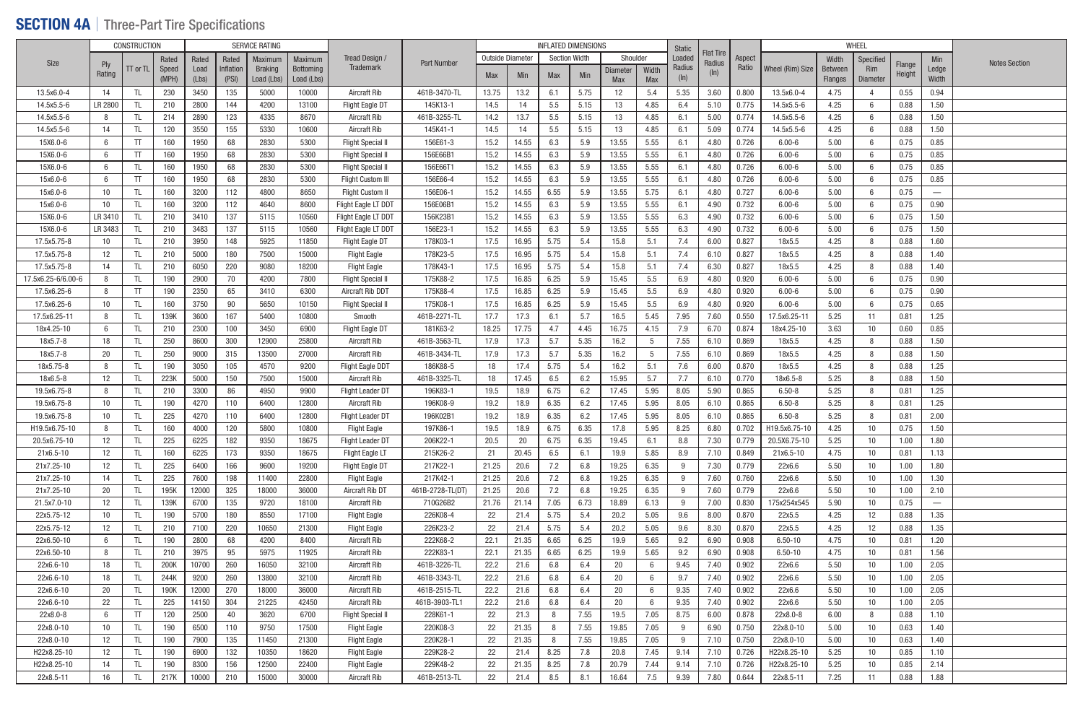### **SECTION 4A** | Three-Part Tire Specifications

|                    |                   | <b>CONSTRUCTION</b> |       |       |           | SERVICE RATING |                  |                          |                    |            |                  | <b>INFLATED DIMENSIONS</b> |                      |            |                 | Static  |                            |        |                  |                | WHEEL           |                  |                                 |                      |
|--------------------|-------------------|---------------------|-------|-------|-----------|----------------|------------------|--------------------------|--------------------|------------|------------------|----------------------------|----------------------|------------|-----------------|---------|----------------------------|--------|------------------|----------------|-----------------|------------------|---------------------------------|----------------------|
| <b>Size</b>        |                   |                     | Rated | Rated | Rated     | Maximum        | Maximum          | Tread Design /           | <b>Part Number</b> |            | Outside Diameter |                            | <b>Section Width</b> | Shoulder   |                 | Loaded  | <b>Flat Tire</b><br>Radius | Aspect |                  | Width          | Specified       |                  | Min                             | <b>Notes Section</b> |
|                    | Ply<br>Rating     | $TT$ or $TL$        | Speed | Load  | Inflation | <b>Braking</b> | <b>Bottoming</b> | <b>Trademark</b>         |                    | <b>Max</b> | Min              | Max                        | Min                  | Diameter   | Width           | Radius  | $(\ln)$                    | Ratio  | Wheel (Rim) Size | <b>Between</b> | Rim             | Flange<br>Height | Ledge                           |                      |
|                    |                   |                     | (MPH) | (Lbs) | (PSI)     | Load (Lbs)     | Load (Lbs)       |                          |                    |            |                  |                            |                      | <b>Max</b> | <b>Max</b>      | $(\ln)$ |                            |        |                  | <b>Flanges</b> | Diameter        |                  | Width                           |                      |
| 13.5x6.0-4         | 14                | -TL                 | 230   | 3450  | 135       | 5000           | 10000            | Aircraft Rib             | 461B-3470-TL       | 13.75      | 13.2             | 6.1                        | 5.75                 | 12         | 5.4             | 5.35    | 3.60                       | 0.800  | 13.5x6.0-4       | 4.75           |                 | 0.55             | 0.94                            |                      |
| 14.5x5.5-6         | LR 2800           | -TL                 | 210   | 2800  | 144       | 4200           | 13100            | <b>Flight Eagle DT</b>   | 145K13-1           | 14.5       | 14               | 5.5                        | 5.15                 | 13         | 4.85            | 6.4     | 5.10                       | 0.775  | 14.5x5.5-6       | 4.25           | -6              | 0.88             | 1.50                            |                      |
| 14.5x5.5-6         | -8                | -TL                 | 214   | 2890  | 123       | 4335           | 8670             | <b>Aircraft Rib</b>      | 461B-3255-TL       | 14.2       | 13.7             | 5.5                        | 5.15                 | 13         | 4.85            | 6.1     | 5.00                       | 0.774  | 14.5x5.5-6       | 4.25           |                 | 0.88             | 1.50                            |                      |
| 14.5x5.5-6         | 14                | TL                  | 120   | 3550  | 155       | 5330           | 10600            | Aircraft Rib             | 145K41-1           | 14.5       | 14               | 5.5                        | 5.15                 | 13         | 4.85            | 6.1     | 5.09                       | 0.774  | 14.5x5.5-6       | 4.25           |                 | 0.88             | 1.50                            |                      |
| 15X6.0-6           | 6                 | TT                  | 160   | 1950  | 68        | 2830           | 5300             | <b>Flight Special</b>    | 156E61-3           | 15.2       | 14.55            | 6.3                        | 5.9                  | 13.55      | 5.55            | 6.1     | 4.80                       | 0.726  | $6.00 - 6$       | 5.00           | - 6             | 0.75             | 0.85                            |                      |
| 15X6.0-6           | 6                 | TT                  | 160   | 1950  | 68        | 2830           | 5300             | <b>Flight Special II</b> | 156E66B1           | 15.2       | 14.55            | 6.3                        | 5.9                  | 13.55      | 5.55            | 6.1     | 4.80                       | 0.726  | $6.00 - 6$       | 5.00           |                 | 0.75             | 0.85                            |                      |
| 15X6.0-6           | 6                 | TL.                 | 160   | 1950  | 68        | 2830           | 5300             | <b>Flight Special II</b> | 156E66T1           | 15.2       | 14.55            | 6.3                        | 5.9                  | 13.55      | 5.55            | 6.1     | 4.80                       | 0.726  | $6.00 - 6$       | 5.00           | 6               | 0.75             | 0.85                            |                      |
| 15x6.0-6           | - 6               | TT                  | 160   | 1950  | 68        | 2830           | 5300             | <b>Flight Custom III</b> | 156E66-4           | 15.2       | 14.55            | 6.3                        | 5.9                  | 13.55      | 5.55            | 6.1     | 4.80                       | 0.726  | $6.00 - 6$       | 5.00           | -6              | 0.75             | 0.85                            |                      |
| 15x6.0-6           | 10                | -TL                 | 160   | 3200  | 112       | 4800           | 8650             | Flight Custom II         | 156E06-1           | 15.2       | 14.55            | 6.55                       | 5.9                  | 13.55      | 5.75            | 6.1     | 4.80                       | 0.727  | $6.00 - 6$       | 5.00           |                 | 0.75             | $\hspace{0.1mm}-\hspace{0.1mm}$ |                      |
| 15x6.0-6           | 10 <sup>°</sup>   | -TL                 | 160   | 3200  | 112       | 4640           | 8600             | Flight Eagle LT DDT      | 156E06B1           | 15.2       | 14.55            | 6.3                        | 5.9                  | 13.55      | 5.55            | 6.1     | 4.90                       | 0.732  | $6.00 - 6$       | 5.00           |                 | 0.75             | 0.90                            |                      |
| 15X6.0-6           | LR 3410           | -TL                 | 210   | 3410  | 137       | 5115           | 10560            | Flight Eagle LT DDT      | 156K23B1           | 15.2       | 14.55            | 6.3                        | 5.9                  | 13.55      | 5.55            | 6.3     | 4.90                       | 0.732  | $6.00 - 6$       | 5.00           | 6               | 0.75             | 1.50                            |                      |
| 15X6.0-6           | LR 3483           | TL                  | 210   | 3483  | 137       | 5115           | 10560            | Flight Eagle LT DDT      | 156E23-1           | 15.2       | 14.55            | 6.3                        | 5.9                  | 13.55      | 5.55            | 6.3     | 4.90                       | 0.732  | $6.00 - 6$       | 5.00           |                 | 0.75             | 1.50                            |                      |
| 17.5x5.75-8        | 10 <sup>°</sup>   | TL                  | 210   | 3950  | 148       | 5925           | 11850            | Flight Eagle DT          | 178K03-1           | 17.5       | 16.95            | 5.75                       | 5.4                  | 15.8       | 5.1             | 7.4     | 6.00                       | 0.827  | 18x5.5           | 4.25           |                 | 0.88             | 1.60                            |                      |
| 17.5x5.75-8        | 12                | TL                  | 210   | 5000  | 180       | 7500           | 15000            | <b>Flight Eagle</b>      | 178K23-5           | 17.5       | 16.95            | 5.75                       | 5.4                  | 15.8       | 5.1             | 7.4     | 6.10                       | 0.827  | 18x5.5           | 4.25           |                 | 0.88             | 1.40                            |                      |
| 17.5x5.75-8        | 14                | TL                  | 210   | 6050  | 220       | 9080           | 18200            | <b>Flight Eagle</b>      | 178K43-1           | 17.5       | 16.95            | 5.75                       | 5.4                  | 15.8       | 5.1             | 7.4     | 6.30                       | 0.827  | 18x5.5           | 4.25           |                 | 0.88             | 1.40                            |                      |
| 17.5x6.25-6/6.00-6 | 8                 | TL                  | 190   | 2900  | 70        | 4200           | 7800             | <b>Flight Special I</b>  | 175K88-2           | 17.5       | 16.85            | 6.25                       | 5.9                  | 15.45      | 5.5             | 6.9     | 4.80                       | 0.920  | $6.00 - 6$       | 5.00           |                 | 0.75             | 0.90                            |                      |
| 17.5x6.25-6        | 8                 | TT                  | 190   | 2350  | 65        | 3410           | 6300             | Aircraft Rib DDT         | 175K88-4           | 17.5       | 16.85            | 6.25                       | 5.9                  | 15.45      | 5.5             | 6.9     | 4.80                       | 0.920  | $6.00 - 6$       | 5.00           |                 | 0.75             | 0.90                            |                      |
| 17.5x6.25-6        | 10 <sup>°</sup>   | TL                  | 160   | 3750  | 90        | 5650           | 10150            | <b>Flight Special I</b>  | 175K08-1           | 17.5       | 16.85            | 6.25                       | 5.9                  | 15.45      | 5.5             | 6.9     | 4.80                       | 0.920  | $6.00 - 6$       | 5.00           |                 | 0.75             | 0.65                            |                      |
| 17.5x6.25-11       | 8                 | TL                  | 139K  | 3600  | 167       | 5400           | 10800            | Smooth                   | 461B-2271-TL       | 17.7       | 17.3             | 6.1                        | 5.7                  | 16.5       | 5.45            | 7.95    | 7.60                       | 0.550  | 17.5x6.25-11     | 5.25           | 11              | 0.81             | 1.25                            |                      |
| 18x4.25-10         | 6                 | -TL                 | 210   | 2300  | 100       | 3450           | 6900             | <b>Flight Eagle DT</b>   | 181K63-2           | 18.25      | 17.75            | 4.7                        | 4.45                 | 16.75      | 4.15            | 7.9     | 6.70                       | 0.874  | 18x4.25-10       | 3.63           | 10              | 0.60             | 0.85                            |                      |
| 18x5.7-8           | 18                | TL                  | 250   | 8600  | 300       | 12900          | 25800            | Aircraft Rib             | 461B-3563-TL       | 17.9       | 17.3             | 5.7                        | 5.35                 | 16.2       | $5\overline{)}$ | 7.55    | 6.10                       | 0.869  | 18x5.5           | 4.25           |                 | 0.88             | 1.50                            |                      |
| 18x5.7-8           | 20                | TL.                 | 250   | 9000  | 315       | 13500          | 27000            | <b>Aircraft Rib</b>      | 461B-3434-TL       | 17.9       | 17.3             | 5.7                        | 5.35                 | 16.2       | 5               | 7.55    | 6.10                       | 0.869  | 18x5.5           | 4.25           |                 | 0.88             | 1.50                            |                      |
| 18x5.75-8          | 8                 | -TL                 | 190   | 3050  | 105       | 4570           | 9200             | <b>Flight Eagle DDT</b>  | 186K88-5           | 18         | 17.4             | 5.75                       | 5.4                  | 16.2       | 5.1             | 7.6     | 6.00                       | 0.870  | 18x5.5           | 4.25           |                 | 0.88             | 1.25                            |                      |
| 18x6.5-8           | 12                | TL                  | 223K  | 5000  | 150       | 7500           | 15000            | Aircraft Rib             | 461B-3325-TL       | 18         | 17.45            | 6.5                        | 6.2                  | 15.95      | 5.7             | 7.7     | 6.10                       | 0.770  | 18x6.5-8         | 5.25           |                 | 0.88             | 1.50                            |                      |
| 19.5x6.75-8        | 8                 | TL                  | 210   | 3300  | 86        | 4950           | 9900             | Flight Leader DT         | 196K83-1           | 19.5       | 18.9             | 6.75                       | 6.2                  | 17.45      | 5.95            | 8.05    | 5.90                       | 0.865  | $6.50 - 8$       | 5.25           |                 | 0.81             | 1.25                            |                      |
| 19.5x6.75-8        | 10                | -TL                 | 190   | 4270  | 110       | 6400           | 12800            | Aircraft Rib             | 196K08-9           | 19.2       | 18.9             | 6.35                       | 6.2                  | 17.45      | 5.95            | 8.05    | 6.10                       | 0.865  | $6.50 - 8$       | 5.25           |                 | 0.81             | 1.25                            |                      |
| 19.5x6.75-8        | 10                | TL                  | 225   | 4270  | 110       | 6400           | 12800            | Flight Leader DT         | 196K02B1           | 19.2       | 18.9             | 6.35                       | 6.2                  | 17.45      | 5.95            | 8.05    | 6.10                       | 0.865  | $6.50 - 8$       | 5.25           |                 | 0.81             | 2.00                            |                      |
| H19.5x6.75-10      | 8                 | TL                  | 160   | 4000  | 120       | 5800           | 10800            | <b>Flight Eagle</b>      | 197K86-1           | 19.5       | 18.9             | 6.75                       | 6.35                 | 17.8       | 5.95            | 8.25    | 6.80                       | 0.702  | H19.5x6.75-10    | 4.25           | 10              | 0.75             | 1.50                            |                      |
| 20.5x6.75-10       | 12                | TL                  | 225   | 6225  | 182       | 9350           | 18675            | Flight Leader DT         | 206K22-1           | 20.5       | 20               | 6.75                       | 6.35                 | 19.45      | 6.1             | 8.8     | 7.30                       | 0.779  | 20.5X6.75-10     | 5.25           | 10              | 1.00             | 1.80                            |                      |
| 21x6.5-10          | 12                | TL                  | 160   | 6225  | 173       | 9350           | 18675            | Flight Eagle LT          | 215K26-2           | 21         | 20.45            | 6.5                        | 6.1                  | 19.9       | 5.85            | 8.9     | 7.10                       | 0.849  | 21x6.5-10        | 4.75           | 10              | 0.81             | 1.13                            |                      |
| 21x7.25-10         | $12 \overline{ }$ | TL                  | 225   | 6400  | 166       | 9600           | 19200            | Flight Eagle DT          | 217K22-1           | 21.25      | 20.6             | 7.2                        | 6.8                  | 19.25      | 6.35            | - 9     | 7.30                       | 0.779  | 22x6.6           | 5.50           | 10              | 1.00             | 1.80                            |                      |
| 21x7.25-10         | 14                | TL                  | 225   | 7600  | 198       | 11400          | 22800            | <b>Flight Eagle</b>      | 217K42-1           | 21.25      | 20.6             | 7.2                        | 6.8                  | 19.25      | 6.35            | - 9     | 7.60                       | 0.760  | 22x6.6           | 5.50           | 10 <sup>°</sup> | 1.00             | 1.30                            |                      |
| 21x7.25-10         | 20                | TL                  | 195K  | 12000 | 325       | 18000          | 36000            | Aircraft Rib DT          | 461B-2728-TL(DT)   | 21.25      | 20.6             | 7.2                        | 6.8                  | 19.25      | 6.35            | 9       | 7.60                       | 0.779  | 22x6.6           | 5.50           | 10              | 1.00             | 2.10                            |                      |
| 21.5x7.0-10        | $12 \overline{ }$ | TL                  | 139K  | 6700  | 135       | 9720           | 18100            | Aircraft Rib             | 710G26B2           | 21.76      | 21.14            | 7.05                       | 6.73                 | 18.89      | 6.13            | - 9     | 7.00                       | 0.830  | 175x254x545      | 5.90           | 10 <sup>°</sup> | 0.75             | $\overline{\phantom{m}}$        |                      |
| 22x5.75-12         | 10                | TL                  | 190   | 5700  | 180       | 8550           | 17100            | <b>Flight Eagle</b>      | 226K08-4           | 22         | 21.4             | 5.75                       | 5.4                  | 20.2       | 5.05            | 9.6     | 8.00                       | 0.870  | 22x5.5           | 4.25           | 12              | 0.88             | 1.35                            |                      |
| 22x5.75-12         | 12                | TL                  | 210   | 7100  | 220       | 10650          | 21300            | <b>Flight Eagle</b>      | 226K23-2           | 22         | 21.4             | 5.75                       | 5.4                  | 20.2       | 5.05            | 9.6     | 8.30                       | 0.870  | 22x5.5           | 4.25           | 12              | 0.88             | 1.35                            |                      |
| 22x6.50-10         | 6                 | TL                  | 190   | 2800  | 68        | 4200           | 8400             | Aircraft Rib             | 222K68-2           | 22.1       | 21.35            | 6.65                       | 6.25                 | 19.9       | 5.65            | 9.2     | 6.90                       | 0.908  | $6.50 - 10$      | 4.75           | 10 <sup>°</sup> | 0.81             | 1.20                            |                      |
| 22x6.50-10         | 8                 | TL                  | 210   | 3975  | 95        | 5975           | 11925            | Aircraft Rib             | 222K83-1           | 22.1       | 21.35            | 6.65                       | 6.25                 | 19.9       | 5.65            | 9.2     | 6.90                       | 0.908  | $6.50 - 10$      | 4.75           | 10 <sup>°</sup> | 0.81             | 1.56                            |                      |
| 22x6.6-10          | 18                | TL                  | 200K  | 10700 | 260       | 16050          | 32100            | Aircraft Rib             | 461B-3226-TL       | 22.2       | 21.6             | 6.8                        | 6.4                  | 20         | 6               | 9.45    | 7.40                       | 0.902  | 22x6.6           | 5.50           | 10              | 1.00             | 2.05                            |                      |
| 22x6.6-10          | 18                | TL                  | 244K  | 9200  | 260       | 13800          | 32100            | Aircraft Rib             | 461B-3343-TL       | 22.2       | 21.6             | 6.8                        | 6.4                  | 20         | 6               | 9.7     | 7.40                       | 0.902  | 22x6.6           | 5.50           | 10 <sup>1</sup> | 1.00             | 2.05                            |                      |
| 22x6.6-10          | 20                | TL                  | 190K  | 12000 | 270       | 18000          | 36000            | Aircraft Rib             | 461B-2515-TL       | 22.2       | 21.6             | 6.8                        | 6.4                  | 20         | 6               | 9.35    | 7.40                       | 0.902  | 22x6.6           | 5.50           | 10 <sup>°</sup> | 1.00             | 2.05                            |                      |
| 22x6.6-10          | 22                | TL.                 | 225   | 14150 | 304       | 21225          | 42450            | Aircraft Rib             | 461B-3903-TL1      | 22.2       | 21.6             | 6.8                        | 6.4                  | 20         | 6               | 9.35    | 7.40                       | 0.902  | 22x6.6           | 5.50           | 10              | 1.00             | 2.05                            |                      |
| 22x8.0-8           | - 6               | TT                  | 120   | 2500  | 40        | 3620           | 6700             | <b>Flight Special</b>    | 228K61-1           | 22         | 21.3             | 8                          | 7.55                 | 19.5       | 7.05            | 8.75    | 6.00                       | 0.878  | 22x8.0-8         | 6.00           | -8              | 0.88             | 1.10                            |                      |
| 22x8.0-10          | 10                | TL.                 | 190   | 6500  | 110       | 9750           | 17500            | <b>Flight Eagle</b>      | 220K08-3           | 22         | 21.35            | 8                          | 7.55                 | 19.85      | 7.05            | - 9     | 6.90                       | 0.750  | 22x8.0-10        | 5.00           | 10              | 0.63             | 1.40                            |                      |
| 22x8.0-10          | $12 \overline{ }$ | TL                  | 190   | 7900  | 135       | 11450          | 21300            | <b>Flight Eagle</b>      | 220K28-1           | 22         | 21.35            | 8                          | 7.55                 | 19.85      | 7.05            | - 9     | 7.10                       | 0.750  | 22x8.0-10        | 5.00           | 10              | 0.63             | 1.40                            |                      |
| H22x8.25-10        | 12                | TL                  | 190   | 6900  | 132       | 10350          | 18620            | <b>Flight Eagle</b>      | 229K28-2           | 22         | 21.4             | 8.25                       | 7.8                  | 20.8       | 7.45            | 9.14    | 7.10                       | 0.726  | H22x8.25-10      | 5.25           | 10 <sup>°</sup> | 0.85             | 1.10                            |                      |
| H22x8.25-10        | 14                | TL.                 | 190   | 8300  | 156       | 12500          | 22400            | <b>Flight Eagle</b>      | 229K48-2           | 22         | 21.35            | 8.25                       | 7.8                  | 20.79      | 7.44            | 9.14    | 7.10                       | 0.726  | H22x8.25-10      | 5.25           | 10 <sup>°</sup> | 0.85             | 2.14                            |                      |
| 22x8.5-11          | 16                | TL                  | 217K  | 10000 | 210       | 15000          | 30000            | Aircraft Rib             | 461B-2513-TL       | 22         | 21.4             | 8.5                        | 8.1                  | 16.64      | 7.5             | 9.39    | 7.80                       | 0.644  | 22x8.5-11        | 7.25           | 11              | 0.88             | 1.88                            |                      |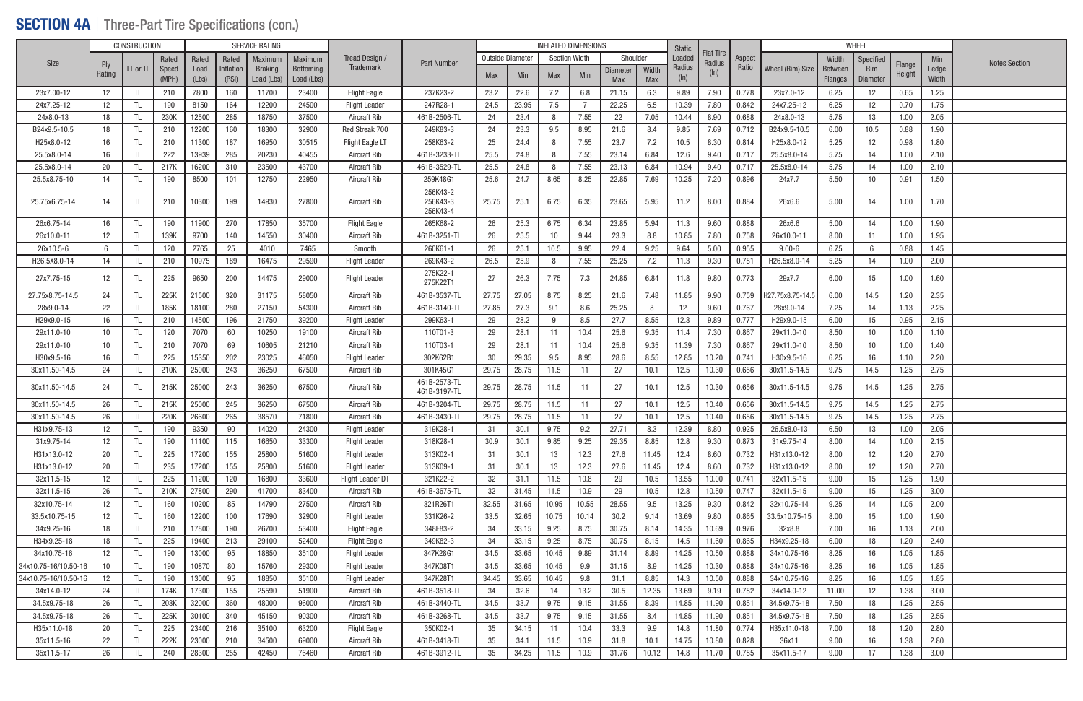### SECTION 4A | Three-Part Tire Specifications (con.)

|                      |                   | <b>CONSTRUCTION</b> |       |       |           | <b>SERVICE RATING</b> |                  |                         |                                  |                  |       | <b>INFLATED DIMENSIONS</b> |       |            |       | <b>Static</b>     |                            |        |                  |                | WHEEL             |                  |       |                      |
|----------------------|-------------------|---------------------|-------|-------|-----------|-----------------------|------------------|-------------------------|----------------------------------|------------------|-------|----------------------------|-------|------------|-------|-------------------|----------------------------|--------|------------------|----------------|-------------------|------------------|-------|----------------------|
| Size                 |                   |                     | Rated | Rated | Rated     | Maximum               | Maximum          | Tread Design /          | <b>Part Number</b>               | Outside Diameter |       | <b>Section Width</b>       |       | Shoulder   |       | Loaded            | <b>Flat Tire</b><br>Radius | Aspect |                  | Width          | Specified         |                  | Min   | <b>Notes Section</b> |
|                      | Ply<br>Rating     | $TT$ or $TL$        | Speed | Load  | Inflation | <b>Braking</b>        | <b>Bottoming</b> | <b>Trademark</b>        |                                  | <b>Max</b>       | Min   | Max                        | Min   | Diameter   | Width | Radius            | $(\ln)$                    | Ratio  | Wheel (Rim) Size | Between        | <b>Rim</b>        | Flange<br>Height | Ledge |                      |
|                      |                   |                     | (MPH) | (Lbs) | (PSI)     | Load (Lbs)            | Load (Lbs)       |                         |                                  |                  |       |                            |       | <b>Max</b> | Max   | (ln)              |                            |        |                  | <b>Flanges</b> | <b>Diameter</b>   |                  | Width |                      |
| 23x7.00-12           | $12 \overline{ }$ | TL.                 | 210   | 7800  | 160       | 11700                 | 23400            | <b>Flight Eagle</b>     | 237K23-2                         | 23.2             | 22.6  | 7.2                        | 6.8   | 21.15      | 6.3   | 9.89              | 7.90                       | 0.778  | 23x7.0-12        | 6.25           | 12                | 0.65             | 1.25  |                      |
| 24x7.25-12           | $12 \overline{ }$ | TL                  | 190   | 8150  | 164       | 12200                 | 24500            | <b>Flight Leader</b>    | 247R28-1                         | 24.5             | 23.95 | 7.5                        | - 7   | 22.25      | 6.5   | 10.39             | 7.80                       | 0.842  | 24x7.25-12       | 6.25           | $12 \overline{ }$ | 0.70             | 1.75  |                      |
| 24x8.0-13            | 18                | TL                  | 230K  | 12500 | 285       | 18750                 | 37500            | Aircraft Rib            | 461B-2506-TL                     | 24               | 23.4  | 8                          | 7.55  | 22         | 7.05  | 10.44             | 8.90                       | 0.688  | 24x8.0-13        | 5.75           | 13                | 1.00             | 2.05  |                      |
| B24x9.5-10.5         | 18                | TL.                 | 210   | 12200 | 160       | 18300                 | 32900            | Red Streak 700          | 249K83-3                         | 24               | 23.3  | 9.5                        | 8.95  | 21.6       | 8.4   | 9.85              | 7.69                       | 0.712  | B24x9.5-10.5     | 6.00           | 10.5              | 0.88             | 1.90  |                      |
| H25x8.0-12           | 16                | TL.                 | 210   | 11300 | 187       | 16950                 | 30515            | Flight Eagle LT         | 258K63-2                         | 25               | 24.4  | 8                          | 7.55  | 23.7       | 7.2   | 10.5              | 8.30                       | 0.814  | H25x8.0-12       | 5.25           | 12                | 0.98             | 1.80  |                      |
| 25.5x8.0-14          | 16                | -TL                 | 222   | 13939 | 285       | 20230                 | 40455            | <b>Aircraft Rib</b>     | 461B-3233-TL                     | 25.5             | 24.8  | 8                          | 7.55  | 23.14      | 6.84  | 12.6              | 9.40                       | 0.717  | 25.5x8.0-14      | 5.75           | 14                | 1.00             | 2.10  |                      |
| 25.5x8.0-14          | 20                | -TL                 | 217K  | 16200 | 310       | 23500                 | 43700            | Aircraft Rib            | 461B-3529-TL                     | 25.5             | 24.8  | 8                          | 7.55  | 23.13      | 6.84  | 10.94             | 9.40                       | 0.717  | 25.5x8.0-14      | 5.75           | 14                | 1.00             | 2.10  |                      |
| 25.5x8.75-10         | 14                | TL                  | 190   | 8500  | 101       | 12750                 | 22950            | Aircraft Rib            | 259K48G1                         | 25.6             | 24.7  | 8.65                       | 8.25  | 22.85      | 7.69  | 10.25             | 7.20                       | 0.896  | 24x7.7           | 5.50           | 10 <sup>°</sup>   | 0.91             | 1.50  |                      |
| 25.75x6.75-14        | 14                | TL                  | 210   | 10300 | 199       | 14930                 | 27800            | Aircraft Rib            | 256K43-2<br>256K43-3<br>256K43-4 | 25.75            | 25.1  | 6.75                       | 6.35  | 23.65      | 5.95  | 11.2              | 8.00                       | 0.884  | 26x6.6           | 5.00           | 14                | 1.00             | 1.70  |                      |
| 26x6.75-14           | 16                | TL                  | 190   | 11900 | 270       | 17850                 | 35700            | <b>Flight Eagle</b>     | 265K68-2                         | 26               | 25.3  | 6.75                       | 6.34  | 23.85      | 5.94  | 11.3              | 9.60                       | 0.888  | 26x6.6           | 5.00           | 14                | 1.00             | 1.90  |                      |
| 26x10.0-11           | 12                | TL.                 | 139K  | 9700  | 140       | 14550                 | 30400            | <b>Aircraft Rib</b>     | 461B-3251-TL                     | 26               | 25.5  | 10                         | 9.44  | 23.3       | 8.8   | 10.85             | 7.80                       | 0.758  | 26x10.0-11       | 8.00           | 11                | 1.00             | 1.95  |                      |
| 26x10.5-6            | 6                 | TL                  | 120   | 2765  | 25        | 4010                  | 7465             | Smooth                  | 260K61-1                         | 26               | 25.1  | 10.5                       | 9.95  | 22.4       | 9.25  | 9.64              | 5.00                       | 0.955  | $9.00 - 6$       | 6.75           | -6                | 0.88             | 1.45  |                      |
| H26.5X8.0-14         | 14                | TL                  | 210   | 10975 | 189       | 16475                 | 29590            | <b>Flight Leader</b>    | 269K43-2                         | 26.5             | 25.9  | 8                          | 7.55  | 25.25      | 7.2   | 11.3              | 9.30                       | 0.781  | H26.5x8.0-14     | 5.25           | 14                | 1.00             | 2.00  |                      |
| 27x7.75-15           | 12                | TL.                 | 225   | 9650  | 200       | 14475                 | 29000            | <b>Flight Leader</b>    | 275K22-1<br>275K22T1             | 27               | 26.3  | 7.75                       | 7.3   | 24.85      | 6.84  | 11.8              | 9.80                       | 0.773  | 29x7.7           | 6.00           | 15                | 1.00             | 1.60  |                      |
| 27.75x8.75-14.5      | 24                | TL.                 | 225K  | 21500 | 320       | 31175                 | 58050            | Aircraft Rib            | 461B-3537-TL                     | 27.75            | 27.05 | 8.75                       | 8.25  | 21.6       | 7.48  | 11.85             | 9.90                       | 0.759  | H27.75x8.75-14.5 | 6.00           | 14.5              | 1.20             | 2.35  |                      |
| 28x9.0-14            | 22                | TL                  | 185K  | 18100 | 280       | 27150                 | 54300            | Aircraft Rib            | 461B-3140-TL                     | 27.85            | 27.3  | 9.1                        | 8.6   | 25.25      | 8     | $12 \overline{ }$ | 9.60                       | 0.767  | 28x9.0-14        | 7.25           | 14                | 1.13             | 2.25  |                      |
| H29x9.0-15           | 16                | TL                  | 210   | 14500 | 196       | 21750                 | 39200            | <b>Flight Leader</b>    | 299K63-1                         | 29               | 28.2  | 9                          | 8.5   | 27.7       | 8.55  | 12.3              | 9.89                       | 0.777  | H29x9.0-15       | 6.00           | 15                | 0.95             | 2.15  |                      |
| 29x11.0-10           | 10                | TL                  | 120   | 7070  | 60        | 10250                 | 19100            | <b>Aircraft Rib</b>     | 110T01-3                         | 29               | 28.1  | 11                         | 10.4  | 25.6       | 9.35  | 11.4              | 7.30                       | 0.867  | 29x11.0-10       | 8.50           | 10                | 1.00             | 1.10  |                      |
| 29x11.0-10           | 10                | -TL                 | 210   | 7070  | 69        | 10605                 | 21210            | Aircraft Rib            | 110T03-1                         | 29               | 28.1  | 11                         | 10.4  | 25.6       | 9.35  | 11.39             | 7.30                       | 0.867  | 29x11.0-10       | 8.50           | 10                | 1.00             | 1.40  |                      |
| H30x9.5-16           | 16                | -TL                 | 225   | 15350 | 202       | 23025                 | 46050            | <b>Flight Leader</b>    | 302K62B1                         | 30               | 29.35 | 9.5                        | 8.95  | 28.6       | 8.55  | 12.85             | 10.20                      | 0.741  | H30x9.5-16       | 6.25           | 16                | 1.10             | 2.20  |                      |
| 30x11.50-14.5        | 24                | TL.                 | 210K  | 25000 | 243       | 36250                 | 67500            | Aircraft Rib            | 301K45G1                         | 29.75            | 28.75 | 11.5                       | -11   | 27         | 10.1  | 12.5              | 10.30                      | 0.656  | 30x11.5-14.5     | 9.75           | 14.5              | 1.25             | 2.75  |                      |
| 30x11.50-14.5        | 24                | TL.                 | 215K  | 25000 | 243       | 36250                 | 67500            | Aircraft Rib            | 461B-2573-TL<br>461B-3197-TL     | 29.75            | 28.75 | 11.5                       | -11   | 27         | 10.1  | 12.5              | 10.30                      | 0.656  | 30x11.5-14.5     | 9.75           | 14.5              | 1.25             | 2.75  |                      |
| 30x11.50-14.5        | 26                | TL                  | 215K  | 25000 | 245       | 36250                 | 67500            | Aircraft Rib            | 461B-3204-TL                     | 29.75            | 28.75 | 11.5                       | 11    | 27         | 10.1  | 12.5              | 10.40                      | 0.656  | 30x11.5-14.5     | 9.75           | 14.5              | 1.25             | 2.75  |                      |
| 30x11.50-14.5        | 26                | TL                  | 220K  | 26600 | 265       | 38570                 | 71800            | Aircraft Rib            | 461B-3430-TL                     | 29.75            | 28.75 | 11.5                       | -11   | 27         | 10.1  | 12.5              | 10.40                      | 0.656  | 30x11.5-14.5     | 9.75           | 14.5              | 1.25             | 2.75  |                      |
| H31x9.75-13          | 12                | TL                  | 190   | 9350  | 90        | 14020                 | 24300            | <b>Flight Leader</b>    | 319K28-1                         | 31               | 30.1  | 9.75                       | 9.2   | 27.71      | 8.3   | 12.39             | 8.80                       | 0.925  | 26.5x8.0-13      | 6.50           | 13                | 1.00             | 2.05  |                      |
| 31x9.75-14           | 12                | TL                  | 190   | 11100 | 115       | 16650                 | 33300            | <b>Flight Leader</b>    | 318K28-1                         | 30.9             | 30.1  | 9.85                       | 9.25  | 29.35      | 8.85  | 12.8              | 9.30                       | 0.873  | 31x9.75-14       | 8.00           | 14                | 1.00             | 2.15  |                      |
| H31x13.0-12          | 20                | TL.                 | 225   | 17200 | 155       | 25800                 | 51600            | <b>Flight Leader</b>    | 313K02-1                         | 31               | 30.1  | 13                         | 12.3  | 27.6       | 11.45 | 12.4              | 8.60                       | 0.732  | H31x13.0-12      | 8.00           | 12                | 1.20             | 2.70  |                      |
| H31x13.0-12          | 20                | TL.                 | 235   | 17200 | 155       | 25800                 | 51600            | <b>Flight Leader</b>    | 313K09-1                         | 31               | 30.1  | 13                         | 12.3  | 27.6       | 11.45 | 12.4              | 8.60                       | 0.732  | H31x13.0-12      | 8.00           | 12                | 1.20             | 2.70  |                      |
| 32x11.5-15           | 12                | TL.                 | 225   | 11200 | 120       | 16800                 | 33600            | <b>Flight Leader DT</b> | 321K22-2                         | 32               | 31.1  | 11.5                       | 10.8  | 29         | 10.5  | 13.55             | 10.00                      | 0.741  | 32x11.5-15       | 9.00           | 15                | 1.25             | 1.90  |                      |
| 32x11.5-15           | 26                | TL                  | 210K  | 27800 | 290       | 41700                 | 83400            | Aircraft Rib            | 461B-3675-TL                     | 32               | 31.45 | 11.5                       | 10.9  | 29         | 10.5  | 12.8              | 10.50                      | 0.747  | 32x11.5-15       | 9.00           | 15                | 1.25             | 3.00  |                      |
| 32x10.75-14          | $12 \overline{ }$ | TL.                 | 160   | 10200 | 85        | 14790                 | 27500            | Aircraft Rib            | 321R26T1                         | 32.55            | 31.65 | 10.95                      | 10.55 | 28.55      | 9.5   | 13.25             | 9.30                       | 0.842  | 32x10.75-14      | 9.25           | 14                | 1.05             | 2.00  |                      |
| 33.5x10.75-15        | 12                | TL                  | 160   | 12200 | 100       | 17690                 | 32900            | <b>Flight Leader</b>    | 331K26-2                         | 33.5             | 32.65 | 10.75                      | 10.14 | 30.2       | 9.14  | 13.69             | 9.80                       | 0.865  | 33.5x10.75-15    | 8.00           | 15                | 1.00             | 1.90  |                      |
| 34x9.25-16           | 18                | TL                  | 210   | 17800 | 190       | 26700                 | 53400            | <b>Flight Eagle</b>     | 348F83-2                         | 34               | 33.15 | 9.25                       | 8.75  | 30.75      | 8.14  | 14.35             | 10.69                      | 0.976  | 32x8.8           | 7.00           | 16                | 1.13             | 2.00  |                      |
| H34x9.25-18          | 18                | TL.                 | 225   | 19400 | 213       | 29100                 | 52400            | <b>Flight Eagle</b>     | 349K82-3                         | 34               | 33.15 | 9.25                       | 8.75  | 30.75      | 8.15  | 14.5              | 11.60                      | 0.865  | H34x9.25-18      | 6.00           | 18                | 1.20             | 2.40  |                      |
| 34x10.75-16          | 12                | TL                  | 190   | 13000 | 95        | 18850                 | 35100            | <b>Flight Leader</b>    | 347K28G1                         | 34.5             | 33.65 | 10.45                      | 9.89  | 31.14      | 8.89  | 14.25             | 10.50                      | 0.888  | 34x10.75-16      | 8.25           | 16                | 1.05             | 1.85  |                      |
| 34x10.75-16/10.50-16 | 10                | TL                  | 190   | 10870 | 80        | 15760                 | 29300            | <b>Flight Leader</b>    | 347K08T1                         | 34.5             | 33.65 | 10.45                      | 9.9   | 31.15      | 8.9   | 14.25             | 10.30                      | 0.888  | 34x10.75-16      | 8.25           | 16                | 1.05             | 1.85  |                      |
| 34x10.75-16/10.50-1  | 12                | TL                  | 190   | 13000 | 95        | 18850                 | 35100            | <b>Flight Leader</b>    | 347K28T1                         | 34.45            | 33.65 | 10.45                      | 9.8   | 31.1       | 8.85  | 14.3              | 10.50                      | 0.888  | 34x10.75-16      | 8.25           | 16                | 1.05             | 1.85  |                      |
| 34x14.0-12           | 24                | TL                  | 174K  | 17300 | 155       | 25590                 | 51900            | Aircraft Rib            | 461B-3518-TL                     | 34               | 32.6  | 14                         | 13.2  | 30.5       | 12.35 | 13.69             | 9.19                       | 0.782  | 34x14.0-12       | 11.00          | 12                | 1.38             | 3.00  |                      |
| 34.5x9.75-18         | 26                | TL.                 | 203K  | 32000 | 360       | 48000                 | 96000            | Aircraft Rib            | 461B-3440-TL                     | 34.5             | 33.7  | 9.75                       | 9.15  | 31.55      | 8.39  | 14.85             | 11.90                      | 0.851  | 34.5x9.75-18     | 7.50           | 18                | 1.25             | 2.55  |                      |
| 34.5x9.75-18         | 26                | TL                  | 225K  | 30100 | 340       | 45150                 | 90300            | Aircraft Rib            | 461B-3268-TL                     | 34.5             | 33.7  | 9.75                       | 9.15  | 31.55      | 8.4   | 14.85             | 11.90                      | 0.851  | 34.5x9.75-18     | 7.50           | 18                | 1.25             | 2.55  |                      |
| H35x11.0-18          | 20                | TL                  | 225   | 23400 | 216       | 35100                 | 63200            | <b>Flight Eagle</b>     | 350K02-1                         | 35               | 34.15 | 11                         | 10.4  | 33.3       | 9.9   | 14.8              | 11.80                      | 0.774  | H35x11.0-18      | 7.00           | 18                | 1.20             | 2.80  |                      |
| 35x11.5-16           | 22                | TL.                 | 222K  | 23000 | 210       | 34500                 | 69000            | Aircraft Rib            | 461B-3418-TL                     | 35               | 34.1  | 11.5                       | 10.9  | 31.8       | 10.1  | 14.75             | 10.80                      | 0.828  | 36x11            | 9.00           | 16                | 1.38             | 2.80  |                      |
| 35x11.5-17           | 26                | TL                  | 240   | 28300 | 255       | 42450                 | 76460            | Aircraft Rib            | 461B-3912-TL                     | 35               | 34.25 | 11.5                       | 10.9  | 31.76      | 10.12 | 14.8              | 11.70                      | 0.785  | 35x11.5-17       | 9.00           | 17                | 1.38             | 3.00  |                      |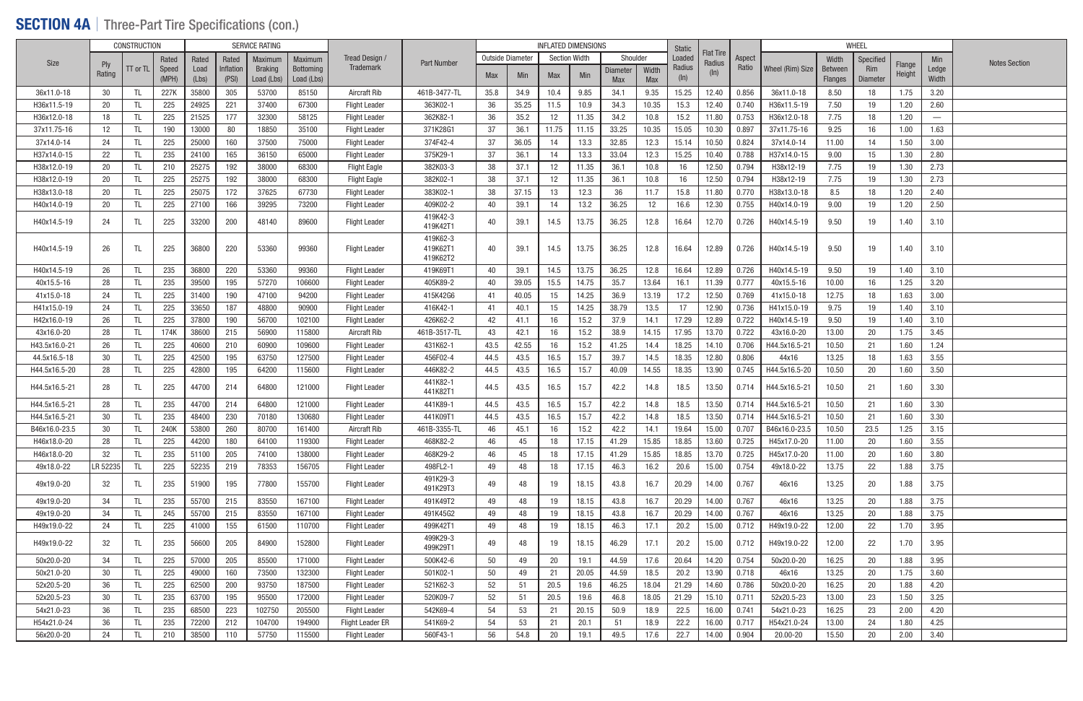### SECTION 4A | Three-Part Tire Specifications (con.)

|               |                      | <b>CONSTRUCTION</b> |       |       |           | <b>SERVICE RATING</b> |            |                         |                      |                  |       |                      | <b>INFLATED DIMENSIONS</b> |                 |       | Static |                            |        |                  |                | WHEEL           |                  |                                 |                      |
|---------------|----------------------|---------------------|-------|-------|-----------|-----------------------|------------|-------------------------|----------------------|------------------|-------|----------------------|----------------------------|-----------------|-------|--------|----------------------------|--------|------------------|----------------|-----------------|------------------|---------------------------------|----------------------|
| Size          |                      |                     | Rated | Rated | Rated     | Maximum               | Maximum    | Tread Design            | <b>Part Number</b>   | Outside Diameter |       | <b>Section Width</b> |                            | Shoulder        |       | Loaded | <b>Flat Tire</b><br>Radius | Aspect |                  | Width          | Specified       |                  | Min                             | <b>Notes Section</b> |
|               | <b>Ply</b><br>Rating | TT or TL            | Speed | Load  | Inflation | <b>Braking</b>        | Bottoming  | Trademark               |                      | Max              | Min   | Max                  | Min                        | <b>Diameter</b> | Width | Radius | (ln)                       | Ratio  | Wheel (Rim) Size | Between        | Rim             | Flange<br>Height | Ledge                           |                      |
|               |                      |                     | (MPH) | (Lbs) | (PSI)     | Load (Lbs)            | Load (Lbs) |                         |                      |                  |       |                      |                            | <b>Max</b>      | Max   | (ln)   |                            |        |                  | <b>Flanges</b> | <b>Diameter</b> |                  | Width                           |                      |
| 36x11.0-18    | 30                   |                     | 227K  | 35800 | 305       | 53700                 | 85150      | Aircraft Rib            | 461B-3477-TL         | 35.8             | 34.9  | 10.4                 | 9.85                       | 34.1            | 9.35  | 15.25  | 12.40                      | 0.856  | 36x11.0-18       | 8.50           | 18              | 1.75             | 3.20                            |                      |
| H36x11.5-19   | 20                   |                     | 225   | 24925 | 221       | 37400                 | 67300      | Flight Leader           | 363K02-1             | 36               | 35.25 | 11.5                 | 10.9                       | 34.3            | 10.35 | 15.3   | 12.40                      | 0.740  | H36x11.5-19      | 7.50           | 19              | 1.20             | 2.60                            |                      |
| H36x12.0-18   | 18                   |                     | 225   | 21525 | 177       | 32300                 | 58125      | <b>Flight Leader</b>    | 362K82-1             | 36               | 35.2  | 12                   | 11.35                      | 34.2            | 10.8  | 15.2   | 11.80                      | 0.753  | H36x12.0-18      | 7.75           | 18              | 1.20             | $\hspace{0.1mm}-\hspace{0.1mm}$ |                      |
| 37x11.75-16   | 12                   |                     | 190   | 13000 | 80        | 18850                 | 35100      | <b>Flight Leader</b>    | 371K28G1             | 37               | 36.1  | 11.75                | 11.15                      | 33.25           | 10.35 | 15.05  | 10.30                      | 0.897  | 37x11.75-16      | 9.25           | 16              | 1.00             | 1.63                            |                      |
| 37x14.0-14    | 24                   |                     | 225   | 25000 | 160       | 37500                 | 75000      | <b>Flight Leader</b>    | 374F42-4             | 37               | 36.05 | 14                   | 13.3                       | 32.85           | 12.3  | 15.14  | 10.50                      | 0.824  | 37x14.0-14       | 11.00          | 14              | 1.50             | 3.00                            |                      |
| H37x14.0-15   | 22                   |                     | 235   | 24100 | 165       | 36150                 | 65000      | <b>Flight Leader</b>    | 375K29-1             | 37               | 36.1  | 14                   | 13.3                       | 33.04           | 12.3  | 15.25  | 10.40                      | 0.788  | H37x14.0-15      | 9.00           | 15              | 1.30             | 2.80                            |                      |
| H38x12.0-19   | 20                   |                     | 210   | 25275 | 192       | 38000                 | 68300      | <b>Flight Eagle</b>     | 382K03-3             | 38               | 37.1  | 12                   | 11.35                      | 36.1            | 10.8  | 16     | 12.50                      | 0.794  | H38x12-19        | 7.75           | 19              | 1.30             | 2.73                            |                      |
| H38x12.0-19   | 20                   |                     | 225   | 25275 | 192       | 38000                 | 68300      | <b>Flight Eagle</b>     | 382K02-1             | 38               | 37.1  | 12                   | 11.35                      | 36.1            | 10.8  | 16     | 12.50                      | 0.794  | H38x12-19        | 7.75           | 19              | 1.30             | 2.73                            |                      |
| H38x13.0-18   | 20                   |                     | 225   | 25075 | 172       | 37625                 | 67730      | <b>Flight Leader</b>    | 383K02-1             | 38               | 37.15 | 13                   | 12.3                       | 36              | 11.7  | 15.8   | 11.80                      | 0.770  | H38x13.0-18      | 8.5            | 18              | 1.20             | 2.40                            |                      |
| H40x14.0-19   | 20                   |                     | 225   | 27100 | 166       | 39295                 | 73200      | <b>Flight Leader</b>    | 409K02-2             | 40               | 39.1  | 14                   | 13.2                       | 36.25           | 12    | 16.6   | 12.30                      | 0.755  | H40x14.0-19      | 9.00           | 19              | 1.20             | 2.50                            |                      |
| H40x14.5-19   | 24                   |                     | 225   | 33200 | 200       | 48140                 | 89600      | <b>Flight Leader</b>    | 419K42-3<br>419K42T1 | 40               | 39.1  | 14.5                 | 13.75                      | 36.25           | 12.8  | 16.64  | 12.70                      | 0.726  | H40x14.5-19      | 9.50           | 19              | 1.40             | 3.10                            |                      |
|               |                      |                     |       |       |           |                       |            |                         | 419K62-3             |                  |       |                      |                            |                 |       |        |                            |        |                  |                |                 |                  |                                 |                      |
| H40x14.5-19   | 26                   |                     | 225   | 36800 | 220       | 53360                 | 99360      | Flight Leader           | 419K62T1<br>419K62T2 | 40               | 39.1  | 14.5                 | 13.75                      | 36.25           | 12.8  | 16.64  | 12.89                      | 0.726  | H40x14.5-19      | 9.50           | 19              | 1.40             | 3.10                            |                      |
| H40x14.5-19   | 26                   |                     | 235   | 36800 | 220       | 53360                 | 99360      | <b>Flight Leader</b>    | 419K69T1             | 40               | 39.1  | 14.5                 | 13.75                      | 36.25           | 12.8  | 16.64  | 12.89                      | 0.726  | H40x14.5-19      | 9.50           | 19              | 1.40             | 3.10                            |                      |
| 40x15.5-16    | 28                   |                     | 235   | 39500 | 195       | 57270                 | 106600     | <b>Flight Leader</b>    | 405K89-2             | 40               | 39.05 | 15.5                 | 14.75                      | 35.7            | 13.64 | 16.1   | 11.39                      | 0.777  | 40x15.5-16       | 10.00          | 16              | 1.25             | 3.20                            |                      |
| 41x15.0-18    | 24                   |                     | 225   | 31400 | 190       | 47100                 | 94200      | <b>Flight Leader</b>    | 415K42G6             | -41              | 40.05 | 15                   | 14.25                      | 36.9            | 13.19 | 17.2   | 12.50                      | 0.769  | 41x15.0-18       | 12.75          | 18              | 1.63             | 3.00                            |                      |
| H41x15.0-19   | 24                   |                     | 225   | 33650 | 187       | 48800                 | 90900      | <b>Flight Leader</b>    | 416K42-1             | 41               | 40.1  | 15                   | 14.25                      | 38.79           | 13.5  | 17     | 12.90                      | 0.736  | H41x15.0-19      | 9.75           | 19              | 1.40             | 3.10                            |                      |
| H42x16.0-19   | 26                   |                     | 225   | 37800 | 190       | 56700                 | 102100     | <b>Flight Leader</b>    | 426K62-2             | 42               | 41.1  | 16                   | 15.2                       | 37.9            | 14.1  | 17.29  | 12.89                      | 0.722  | H40x14.5-19      | 9.50           | 19              | 1.40             | 3.10                            |                      |
| 43x16.0-20    | 28                   |                     | 174K  | 38600 | 215       | 56900                 | 115800     | Aircraft Rib            | 461B-3517-TL         | 43               | 42.1  | 16                   | 15.2                       | 38.9            | 14.15 | 17.95  | 13.70                      | 0.722  | 43x16.0-20       | 13.00          | 20              | 1.75             | 3.45                            |                      |
| H43.5x16.0-21 | 26                   |                     | 225   | 40600 | 210       | 60900                 | 109600     | <b>Flight Leader</b>    | 431K62-1             | 43.5             | 42.55 | 16                   | 15.2                       | 41.25           | 14.4  | 18.25  | 14.10                      | 0.706  | H44.5x16.5-21    | 10.50          | 21              | 1.60             | 1.24                            |                      |
| 44.5x16.5-18  | 30                   |                     | 225   | 42500 | 195       | 63750                 | 127500     | <b>Flight Leader</b>    | 456F02-4             | 44.5             | 43.5  | 16.5                 | 15.7                       | 39.7            | 14.5  | 18.35  | 12.80                      | 0.806  | 44x16            | 13.25          | 18              | 1.63             | 3.55                            |                      |
| H44.5x16.5-20 | 28                   |                     | 225   | 42800 | 195       | 64200                 | 115600     | <b>Flight Leader</b>    | 446K82-2             | 44.5             | 43.5  | 16.5                 | 15.7                       | 40.09           | 14.55 | 18.35  | 13.90                      | 0.745  | H44.5x16.5-20    | 10.50          | 20              | 1.60             | 3.50                            |                      |
| H44.5x16.5-21 | 28                   |                     | 225   | 44700 | 214       | 64800                 | 121000     | Flight Leader           | 441K82-1             | 44.5             | 43.5  | 16.5                 | 15.7                       | 42.2            | 14.8  | 18.5   | 13.50                      | 0.714  | H44.5x16.5-21    | 10.50          | 21              | 1.60             | 3.30                            |                      |
| H44.5x16.5-21 | 28                   |                     | 235   | 44700 | 214       | 64800                 | 121000     | <b>Flight Leader</b>    | 441K82T1<br>441K89-1 | 44.5             | 43.5  | 16.5                 | 15.7                       | 42.2            | 14.8  | 18.5   | 13.50                      | 0.714  | H44.5x16.5-21    | 10.50          | 21              | 1.60             | 3.30                            |                      |
| H44.5x16.5-21 | 30                   |                     | 235   | 48400 | 230       | 70180                 | 130680     | <b>Flight Leader</b>    | 441K09T1             | 44.5             | 43.5  | 16.5                 | 15.7                       | 42.2            | 14.8  | 18.5   | 13.50                      | 0.714  | H44.5x16.5-21    | 10.50          | 21              | 1.60             | 3.30                            |                      |
| B46x16.0-23.5 | 30                   |                     | 240K  | 53800 | 260       | 80700                 | 161400     | Aircraft Rib            | 461B-3355-TL         | 46               | 45.1  | 16                   | 15.2                       | 42.2            | 14.1  | 19.64  | 15.00                      | 0.707  | B46x16.0-23.5    | 10.50          | 23.5            | 1.25             | 3.15                            |                      |
| H46x18.0-20   | 28                   |                     | 225   | 44200 | 180       | 64100                 | 119300     | <b>Flight Leader</b>    | 468K82-2             | 46               | 45    | 18                   | 17.15                      | 41.29           | 15.85 | 18.85  | 13.60                      | 0.725  | H45x17.0-20      | 11.00          | 20              | 1.60             | 3.55                            |                      |
| H46x18.0-20   | 32                   |                     | 235   | 51100 | 205       | 74100                 | 138000     | <b>Flight Leader</b>    | 468K29-2             | 46               | 45    | 18                   | 17.15                      | 41.29           | 15.85 | 18.85  | 13.70                      | 0.725  | H45x17.0-20      | 11.00          | 20              | 1.60             | 3.80                            |                      |
| 49x18.0-22    | LR 52235             |                     | 225   | 52235 | 219       | 78353                 | 156705     | <b>Flight Leader</b>    | 498FL2-1             | 49               | 48    | 18                   | 17.15                      | 46.3            | 16.2  | 20.6   | 15.00                      | 0.754  | 49x18.0-22       | 13.75          | 22              | 1.88             | 3.75                            |                      |
| 49x19.0-20    | 32                   |                     | 235   | 51900 | 195       | 77800                 | 155700     | <b>Flight Leader</b>    | 491K29-3<br>491K29T3 | 49               | 48    | 19                   | 18.15                      | 43.8            | 16.7  | 20.29  | 14.00                      | 0.767  | 46x16            | 13.25          | 20              | 1.88             | 3.75                            |                      |
| 49x19.0-20    | 34                   |                     | 235   | 55700 | 215       | 83550                 | 167100     | <b>Flight Leader</b>    | 491K49T2             | 49               | 48    | 19                   | 18.15                      | 43.8            | 16.7  | 20.29  | 14.00                      | 0.767  | 46x16            | 13.25          | 20              | 1.88             | 3.75                            |                      |
| 49x19.0-20    | 34                   |                     | 245   | 55700 | 215       | 83550                 | 167100     | <b>Flight Leader</b>    | 491K45G2             | 49               | 48    | 19                   | 18.15                      | 43.8            | 16.7  | 20.29  | 14.00                      | 0.767  | 46x16            | 13.25          | 20              | 1.88             | 3.75                            |                      |
| H49x19.0-22   | 24                   |                     | 225   | 41000 | 155       | 61500                 | 110700     | <b>Flight Leader</b>    | 499K42T1             | 49               | 48    | 19                   | 18.15                      | 46.3            | 17.1  | 20.2   | 15.00                      | 0.712  | H49x19.0-22      | 12.00          | 22              | 1.70             | 3.95                            |                      |
| H49x19.0-22   | -32                  |                     | 235   | 56600 | 205       | 84900                 | 152800     | <b>Flight Leader</b>    | 499K29-3<br>499K29T1 | 49               | 48    | 19                   | 18.15                      | 46.29           | 17.1  | 20.2   | 15.00                      | 0.712  | H49x19.0-22      | 12.00          | 22              | 1.70             | 3.95                            |                      |
| 50x20.0-20    | 34                   |                     | 225   | 57000 | 205       | 85500                 | 171000     | <b>Flight Leader</b>    | 500K42-6             | 50               | 49    | 20                   | 19.1                       | 44.59           | 17.6  | 20.64  | 14.20                      | 0.754  | 50x20.0-20       | 16.25          | 20              | 1.88             | 3.95                            |                      |
| 50x21.0-20    | 30                   |                     | 225   | 49000 | 160       | 73500                 | 132300     | <b>Flight Leader</b>    | 501K02-1             | 50               | 49    | 21                   | 20.05                      | 44.59           | 18.5  | 20.2   | 13.90                      | 0.718  | 46x16            | 13.25          | 20              | 1.75             | 3.60                            |                      |
| 52x20.5-20    | 36                   |                     | 225   | 62500 | 200       | 93750                 | 187500     | <b>Flight Leader</b>    | 521K62-3             | 52               | 51    | 20.5                 | 19.6                       | 46.25           | 18.04 | 21.29  | 14.60                      | 0.786  | 50x20.0-20       | 16.25          | 20              | 1.88             | 4.20                            |                      |
| 52x20.5-23    | 30                   | TL.                 | 235   | 63700 | 195       | 95500                 | 172000     | <b>Flight Leader</b>    | 520K09-7             | 52               | 51    | 20.5                 | 19.6                       | 46.8            | 18.05 | 21.29  | 15.10                      | 0.711  | 52x20.5-23       | 13.00          | 23              | 1.50             | 3.25                            |                      |
| 54x21.0-23    | 36                   |                     | 235   | 68500 | 223       | 102750                | 205500     | <b>Flight Leader</b>    | 542K69-4             | 54               | 53    | 21                   | 20.15                      | 50.9            | 18.9  | 22.5   | 16.00                      | 0.741  | 54x21.0-23       | 16.25          | 23              | 2.00             | 4.20                            |                      |
| H54x21.0-24   | 36                   |                     | 235   | 72200 | 212       | 104700                | 194900     | <b>Flight Leader ER</b> | 541K69-2             | 54               | 53    | 21                   | 20.1                       | 51              | 18.9  | 22.2   | 16.00                      | 0.717  | H54x21.0-24      | 13.00          | 24              | 1.80             | 4.25                            |                      |
| 56x20.0-20    | 24                   |                     | 210   | 38500 | 110       | 57750                 | 115500     | <b>Flight Leader</b>    | 560F43-1             | 56               | 54.8  | 20                   | 19.1                       | 49.5            | 17.6  | 22.7   | 14.00                      | 0.904  | 20.00-20         | 15.50          | 20              | 2.00             | 3.40                            |                      |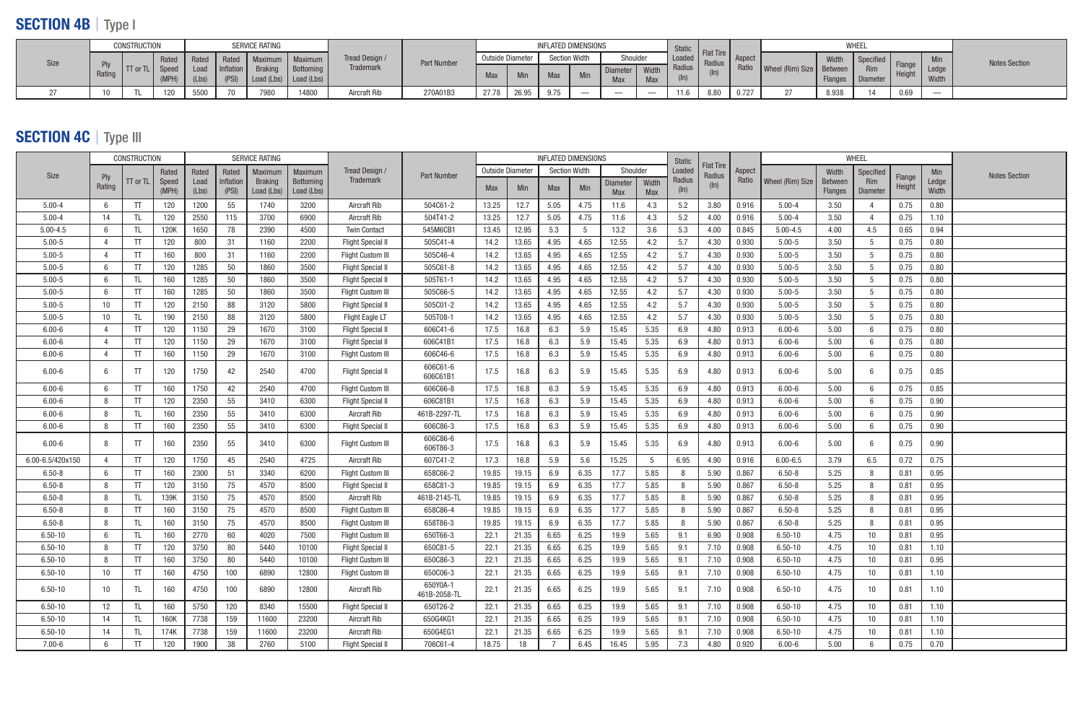## SECTION 4B | Type I

|             | CONSTRUCTION<br>SERVICE RATING |                   |               |                         |       |                                               |                                                      |                  |             |            | <b>INFLATED DIMENSIONS</b> |                      |     |            | Static                        |      |      |                                 |                                    | WHEEI              |                  |      |                |                      |
|-------------|--------------------------------|-------------------|---------------|-------------------------|-------|-----------------------------------------------|------------------------------------------------------|------------------|-------------|------------|----------------------------|----------------------|-----|------------|-------------------------------|------|------|---------------------------------|------------------------------------|--------------------|------------------|------|----------------|----------------------|
|             |                                |                   | Rated   Rated |                         |       |                                               | Rated Maximum Maximum<br>Inflation Braking Bottoming | Tread Design /   | Part Number |            | Outside Diameter           | <b>Section Width</b> |     | Shoulder   |                               |      |      | <b>Example Flat Tire</b> Aspect |                                    | Width              | Specified Flange |      | Min            | <b>Notes Section</b> |
| <b>Size</b> | Rating                         | <b>I</b> TT or TL |               | Load<br>$(MPH)$ $(Lbs)$ | (PSI) | $\vert$ Load (Lbs) $\vert$ Load (Lbs) $\vert$ |                                                      | <b>Trademark</b> |             | <b>Max</b> | Min                        | <b>Max</b>           | Min | <b>Max</b> | Width<br><b>Max</b>           |      |      |                                 | Ratio   Wheel (Rim) Size   Between | Flanges   Diameter | Rim              |      | Ledge<br>Width |                      |
|             |                                |                   |               |                         |       |                                               |                                                      |                  |             |            |                            |                      |     |            |                               |      |      |                                 |                                    |                    |                  |      |                |                      |
|             | 10                             |                   | 120           | 5500                    | 70    | 7980                                          | 14800                                                | Aircraft Rib     | 270A01B3    | 27.78      | 26.95                      | 9.75                 |     |            | $\overbrace{\phantom{aaaaa}}$ | 11.6 | 8.80 | 0.727                           |                                    | 8.938              |                  | 0.69 |                |                      |

# SECTION 4C | Type III

|                  |                | <b>CONSTRUCTION</b> |       |       |           | <b>SERVICE RATING</b> |            |                          |                          |                  |       | <b>INFLATED DIMENSIONS</b> |      |          |       | Static        |                            |        |                  |         | WHEEL           |        |       |                      |
|------------------|----------------|---------------------|-------|-------|-----------|-----------------------|------------|--------------------------|--------------------------|------------------|-------|----------------------------|------|----------|-------|---------------|----------------------------|--------|------------------|---------|-----------------|--------|-------|----------------------|
| Size             | Ply            |                     | Rated | Rated | Rated     | Maximum               | Maximum    | Tread Design             | <b>Part Number</b>       | Outside Diameter |       | <b>Section Width</b>       |      | Shoulder |       | Loaded        | <b>Flat Tire</b><br>Radius | Aspect |                  | Width   | Specified       | Flange | Min   | <b>Notes Section</b> |
|                  | Rating         | $TT$ or $TL$        | Speed | Load  | Inflation | <b>Braking</b>        | Bottoming  | <b>Trademark</b>         |                          | Max              | Min   | Max                        | Min  | Diameter | Width | Radius        | (ln)                       | Ratio  | Wheel (Rim) Size | Between | <b>Rim</b>      | Height | Ledge |                      |
|                  |                |                     | (MPH) | (Lbs) | (PSI)     | Load (Lbs)            | Load (Lbs) |                          |                          |                  |       |                            |      | Max      | Max   | $(\ln)$       |                            |        |                  | Flanges | Diameter        |        | Width |                      |
| $5.00 - 4$       | - 6            | <b>TT</b>           | 120   | 1200  | 55        | 1740                  | 3200       | Aircraft Rib             | 504C61-2                 | 13.25            | 12.7  | 5.05                       | 4.75 | 11.6     | 4.3   | 5.2           | 3.80                       | 0.916  | $5.00 - 4$       | 3.50    |                 | 0.75   | 0.80  |                      |
| $5.00 - 4$       | 14             | TL                  | 120   | 2550  | 115       | 3700                  | 6900       | Aircraft Rib             | 504T41-2                 | 13.25            | 12.7  | 5.05                       | 4.75 | 11.6     | 4.3   | 5.2           | 4.00                       | 0.916  | $5.00 - 4$       | 3.50    |                 | 0.75   | 1.10  |                      |
| $5.00 - 4.5$     | 6              | TL                  | 120K  | 1650  | 78        | 2390                  | 4500       | <b>Twin Contact</b>      | 545M6CB1                 | 13.45            | 12.95 | 5.3                        | -5   | 13.2     | 3.6   | 5.3           | 4.00                       | 0.845  | $5.00 - 4.5$     | 4.00    | 4.5             | 0.65   | 0.94  |                      |
| $5.00 - 5$       | 4              | TT                  | 120   | 800   | 31        | 1160                  | 2200       | <b>Flight Special II</b> | 505C41-4                 | 14.2             | 13.65 | 4.95                       | 4.65 | 12.55    | 4.2   | 5.7           | 4.30                       | 0.930  | $5.00 - 5$       | 3.50    |                 | 0.75   | 0.80  |                      |
| $5.00 - 5$       | $\overline{4}$ | TT                  | 160   | 800   | 31        | 1160                  | 2200       | <b>Flight Custom III</b> | 505C46-4                 | 14.2             | 13.65 | 4.95                       | 4.65 | 12.55    | 4.2   | 5.7           | 4.30                       | 0.930  | $5.00 - 5$       | 3.50    | $\overline{5}$  | 0.75   | 0.80  |                      |
| $5.00 - 5$       | - 6            | TT                  | 120   | 1285  | 50        | 1860                  | 3500       | <b>Flight Special II</b> | 505C61-8                 | 14.2             | 13.65 | 4.95                       | 4.65 | 12.55    | 4.2   | 5.7           | 4.30                       | 0.930  | $5.00 - 5$       | 3.50    |                 | 0.75   | 0.80  |                      |
| $5.00 - 5$       | - 6            |                     | 160   | 1285  | 50        | 1860                  | 3500       | <b>Flight Special II</b> | 505T61-1                 | 14.2             | 13.65 | 4.95                       | 4.65 | 12.55    | 4.2   | 5.7           | 4.30                       | 0.930  | $5.00 - 5$       | 3.50    | 5               | 0.75   | 0.80  |                      |
| $5.00 - 5$       | 6              | <b>TT</b>           | 160   | 1285  | 50        | 1860                  | 3500       | Flight Custom III        | 505C66-5                 | 14.2             | 13.65 | 4.95                       | 4.65 | 12.55    | 4.2   | 5.7           | 4.30                       | 0.930  | $5.00 - 5$       | 3.50    | 5               | 0.75   | 0.80  |                      |
| $5.00 - 5$       | 10             | <b>TT</b>           | 120   | 2150  | 88        | 3120                  | 5800       | <b>Flight Special II</b> | 505C01-2                 | 14.2             | 13.65 | 4.95                       | 4.65 | 12.55    | 4.2   | 5.7           | 4.30                       | 0.930  | $5.00 - 5$       | 3.50    | -5              | 0.75   | 0.80  |                      |
| $5.00 - 5$       | 10             |                     | 190   | 2150  | 88        | 3120                  | 5800       | Flight Eagle LT          | 505T08-1                 | 14.2             | 13.65 | 4.95                       | 4.65 | 12.55    | 4.2   | 5.7           | 4.30                       | 0.930  | $5.00 - 5$       | 3.50    |                 | 0.75   | 0.80  |                      |
| $6.00 - 6$       | $\overline{4}$ | <b>TT</b>           | 120   | 1150  | 29        | 1670                  | 3100       | <b>Flight Special II</b> | 606C41-6                 | 17.5             | 16.8  | 6.3                        | 5.9  | 15.45    | 5.35  | 6.9           | 4.80                       | 0.913  | $6.00 - 6$       | 5.00    |                 | 0.75   | 0.80  |                      |
| $6.00 - 6$       | $\overline{4}$ | T                   | 120   | 1150  | 29        | 1670                  | 3100       | <b>Flight Special II</b> | 606C41B1                 | 17.5             | 16.8  | 6.3                        | 5.9  | 15.45    | 5.35  | 6.9           | 4.80                       | 0.913  | $6.00 - 6$       | 5.00    |                 | 0.75   | 0.80  |                      |
| $6.00 - 6$       | $\overline{4}$ | TT                  | 160   | 1150  | 29        | 1670                  | 3100       | <b>Flight Custom III</b> | 606C46-6                 | 17.5             | 16.8  | 6.3                        | 5.9  | 15.45    | 5.35  | 6.9           | 4.80                       | 0.913  | $6.00 - 6$       | 5.00    |                 | 0.75   | 0.80  |                      |
| $6.00 - 6$       | 6              | <b>TT</b>           | 120   | 1750  | 42        | 2540                  | 4700       | <b>Flight Special II</b> | 606C61-6<br>606C61B1     | 17.5             | 16.8  | 6.3                        | 5.9  | 15.45    | 5.35  | 6.9           | 4.80                       | 0.913  | $6.00 - 6$       | 5.00    |                 | 0.75   | 0.85  |                      |
| $6.00 - 6$       | 6              | TT                  | 160   | 1750  | 42        | 2540                  | 4700       | Flight Custom III        | 606C66-8                 | 17.5             | 16.8  | 6.3                        | 5.9  | 15.45    | 5.35  | 6.9           | 4.80                       | 0.913  | $6.00 - 6$       | 5.00    |                 | 0.75   | 0.85  |                      |
| $6.00 - 6$       | -8             | T                   | 120   | 2350  | 55        | 3410                  | 6300       | <b>Flight Special II</b> | 606C81B1                 | 17.5             | 16.8  | 6.3                        | 5.9  | 15.45    | 5.35  | 6.9           | 4.80                       | 0.913  | $6.00 - 6$       | 5.00    |                 | 0.75   | 0.90  |                      |
| $6.00 - 6$       | -8             | -TI                 | 160   | 2350  | 55        | 3410                  | 6300       | Aircraft Rib             | 461B-2297-TL             | 17.5             | 16.8  | 6.3                        | 5.9  | 15.45    | 5.35  | 6.9           | 4.80                       | 0.913  | $6.00 - 6$       | 5.00    |                 | 0.75   | 0.90  |                      |
| $6.00 - 6$       | 8              | TT                  | 160   | 2350  | 55        | 3410                  | 6300       | <b>Flight Special</b>    | 606C86-3                 | 17.5             | 16.8  | 6.3                        | 5.9  | 15.45    | 5.35  | 6.9           | 4.80                       | 0.913  | $6.00 - 6$       | 5.00    |                 | 0.75   | 0.90  |                      |
| $6.00 - 6$       | 8              | TT                  | 160   | 2350  | 55        | 3410                  | 6300       | <b>Flight Custom III</b> | 606C86-6<br>606T86-3     | 17.5             | 16.8  | 6.3                        | 5.9  | 15.45    | 5.35  | 6.9           | 4.80                       | 0.913  | $6.00 - 6$       | 5.00    |                 | 0.75   | 0.90  |                      |
| 6.00-6.5/420x150 | $\overline{4}$ | TT                  | 120   | 1750  | 45        | 2540                  | 4725       | Aircraft Rib             | 607C41-2                 | 17.3             | 16.8  | 5.9                        | 5.6  | 15.25    | 5     | 6.95          | 4.90                       | 0.916  | $6.00 - 6.5$     | 3.79    | 6.5             | 0.72   | 0.75  |                      |
| $6.50 - 8$       | 6              | TT                  | 160   | 2300  | 51        | 3340                  | 6200       | <b>Flight Custom III</b> | 658C66-2                 | 19.85            | 19.15 | 6.9                        | 6.35 | 17.7     | 5.85  | 8             | 5.90                       | 0.867  | $6.50 - 8$       | 5.25    |                 | 0.81   | 0.95  |                      |
| $6.50 - 8$       | - 8            | TT                  | 120   | 3150  | 75        | 4570                  | 8500       | <b>Flight Special II</b> | 658C81-3                 | 19.85            | 19.15 | 6.9                        | 6.35 | 17.7     | 5.85  | 8             | 5.90                       | 0.867  | $6.50 - 8$       | 5.25    |                 | 0.81   | 0.95  |                      |
| $6.50 - 8$       | - 8            |                     | 139K  | 3150  | 75        | 4570                  | 8500       | Aircraft Rib             | 461B-2145-TL             | 19.85            | 19.15 | 6.9                        | 6.35 | 17.7     | 5.85  | 8             | 5.90                       | 0.867  | $6.50 - 8$       | 5.25    |                 | 0.81   | 0.95  |                      |
| $6.50 - 8$       | -8             | -TI                 | 160   | 3150  | 75        | 4570                  | 8500       | <b>Flight Custom III</b> | 658C86-4                 | 19.85            | 19.15 | 6.9                        | 6.35 | 17.7     | 5.85  | 8             | 5.90                       | 0.867  | $6.50 - 8$       | 5.25    |                 | 0.81   | 0.95  |                      |
| $6.50 - 8$       | -8             | -TI                 | 160   | 3150  | 75        | 4570                  | 8500       | Flight Custom III        | 658T86-3                 | 19.85            | 19.15 | 6.9                        | 6.35 | 17.7     | 5.85  | 8             | 5.90                       | 0.867  | $6.50 - 8$       | 5.25    |                 | 0.81   | 0.95  |                      |
| $6.50 - 10$      | 6              |                     | 160   | 2770  | 60        | 4020                  | 7500       | <b>Flight Custom III</b> | 650T66-3                 | 22.1             | 21.35 | 6.65                       | 6.25 | 19.9     | 5.65  | 9.1           | 6.90                       | 0.908  | $6.50 - 10$      | 4.75    | 10              | 0.81   | 0.95  |                      |
| $6.50 - 10$      | 8              | <b>TT</b>           | 120   | 3750  | 80        | 5440                  | 10100      | <b>Flight Special II</b> | 650C81-5                 | 22.1             | 21.35 | 6.65                       | 6.25 | 19 Q     | 5.65  | $Q_1$<br>◡. ៲ | 7.10                       | 0.908  | $6.50 - 10$      | 4.75    | 10 <sup>°</sup> | 0.81   | 1.10  |                      |
| $6.50 - 10$      | 8              | TT                  | 160   | 3750  | 80        | 5440                  | 10100      | Flight Custom III        | 650C86-3                 | 22.1             | 21.35 | 6.65                       | 6.25 | 19.9     | 5.65  | 9.1           | 7.10                       | 0.908  | $6.50 - 10$      | 4.75    | 10 <sup>°</sup> | 0.81   | 0.95  |                      |
| $6.50 - 10$      | 10             | TT                  | 160   | 4750  | 100       | 6890                  | 12800      | Flight Custom III        | 650C06-3                 | 22.1             | 21.35 | 6.65                       | 6.25 | 19.9     | 5.65  | 9.1           | 7.10                       | 0.908  | $6.50 - 10$      | 4.75    | 10 <sup>°</sup> | 0.81   | 1.10  |                      |
| $6.50 - 10$      | 10             | TL.                 | 160   | 4750  | 100       | 6890                  | 12800      | Aircraft Rib             | 650Y0A-1<br>461B-2058-TL | 22.1             | 21.35 | 6.65                       | 6.25 | 19.9     | 5.65  | 9.1           | 7.10                       | 0.908  | $6.50 - 10$      | 4.75    | 10              | 0.81   | 1.10  |                      |
| $6.50 - 10$      | 12             | TL.                 | 160   | 5750  | 120       | 8340                  | 15500      | <b>Flight Special II</b> | 650T26-2                 | 22.1             | 21.35 | 6.65                       | 6.25 | 19.9     | 5.65  | 9.1           | 7.10                       | 0.908  | $6.50 - 10$      | 4.75    | 10              | 0.81   | 1.10  |                      |
| $6.50 - 10$      | 14             |                     | 160K  | 7738  | 159       | 11600                 | 23200      | Aircraft Rib             | 650G4KG1                 | 22.1             | 21.35 | 6.65                       | 6.25 | 19.9     | 5.65  | 9.1           | 7.10                       | 0.908  | $6.50 - 10$      | 4.75    | 10              | 0.81   | 1.10  |                      |
| $6.50 - 10$      | 14             |                     | 174K  | 7738  | 159       | 11600                 | 23200      | Aircraft Rib             | 650G4EG1                 | 22.1             | 21.35 | 6.65                       | 6.25 | 19.9     | 5.65  | 9.1           | 7.10                       | 0.908  | $6.50 - 10$      | 4.75    | 10              | 0.81   | 1.10  |                      |
| $7.00 - 6$       | 6              | TT                  | 120   | 1900  | 38        | 2760                  | 5100       | <b>Flight Special II</b> | 706C61-4                 | 18.75            | 18    |                            | 6.45 | 16.45    | 5.95  | 7.3           | 4.80                       | 0.920  | $6.00 - 6$       | 5.00    |                 | 0.75   | 0.70  |                      |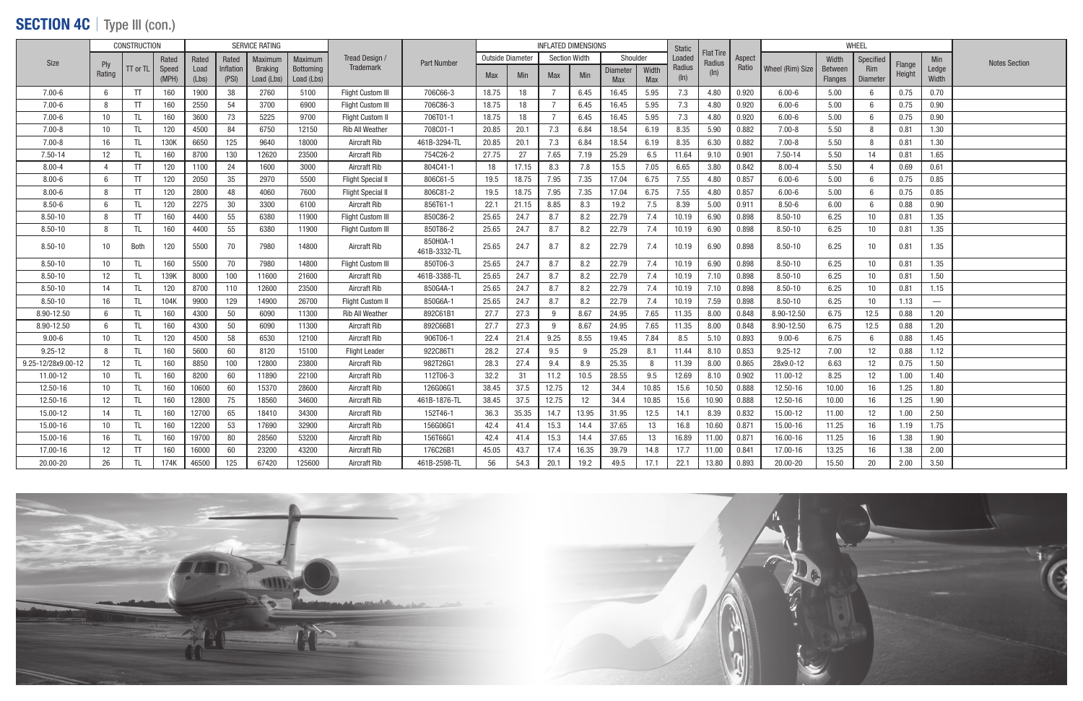### SECTION 4C | Type III (con.)

|                    |                | <b>CONSTRUCTION</b> |       |       |           | <b>SERVICE RATING</b> |            |                          |                    |                         |       | <b>INFLATED DIMENSIONS</b> |            |                 |            | <b>Static</b> |                            |        |                  |         | <b>WHEEL</b>     |                  |                                 |                      |
|--------------------|----------------|---------------------|-------|-------|-----------|-----------------------|------------|--------------------------|--------------------|-------------------------|-------|----------------------------|------------|-----------------|------------|---------------|----------------------------|--------|------------------|---------|------------------|------------------|---------------------------------|----------------------|
| Size               |                |                     | Rated | Rated | Rated     | Maximum               | Maximum    | Tread Design             | <b>Part Number</b> | <b>Outside Diameter</b> |       | <b>Section Width</b>       |            | Shoulder        |            | Loaded        | <b>Flat Tire</b><br>Radius | Aspect |                  | Width   | Specified        |                  | <b>Min</b>                      | <b>Notes Section</b> |
|                    | Ply<br>Rating  | $TT$ or $TL$        | Speed | Load  | Inflation | <b>Braking</b>        | Bottoming  | <b>Trademark</b>         |                    | <b>Max</b>              | Min   | <b>Max</b>                 | <b>Min</b> | <b>Diameter</b> | Width      | Radius        | $(\ln)$                    | Ratio  | Wheel (Rim) Size | Between | Rim              | Flange<br>Height | Ledge                           |                      |
|                    |                |                     | (MPH) | (Lbs) | (PSI)     | Load (Lbs)            | Load (Lbs) |                          |                    |                         |       |                            |            | Max             | <b>Max</b> | $(\ln)$       |                            |        |                  | Flanges | <b>Diameter</b>  |                  | Width                           |                      |
| $7.00 - 6$         | 6              | <b>TT</b>           | 160   | 1900  | 38        | 2760                  | 5100       | <b>Flight Custom III</b> | 706C66-3           | 18.75                   | 18    | 7                          | 6.45       | 16.45           | 5.95       | 7.3           | 4.80                       | 0.920  | $6.00 - 6$       | 5.00    | 6                | 0.75             | 0.70                            |                      |
| $7.00 - 6$         | -8             | TT                  | 160   | 2550  | 54        | 3700                  | 6900       | <b>Flight Custom III</b> | 706C86-3           | 18.75                   | 18    | $\overline{7}$             | 6.45       | 16.45           | 5.95       | 7.3           | 4.80                       | 0.920  | $6.00 - 6$       | 5.00    |                  | 0.75             | 0.90                            |                      |
| $7.00 - 6$         | 10             | TL                  | 160   | 3600  | 73        | 5225                  | 9700       | <b>Flight Custom II</b>  | 706T01-1           | 18.75                   | 18    | 7                          | 6.45       | 16.45           | 5.95       | 7.3           | 4.80                       | 0.920  | $6.00 - 6$       | 5.00    |                  | 0.75             | 0.90                            |                      |
| $7.00 - 8$         | 10             | -TL                 | 120   | 4500  | 84        | 6750                  | 12150      | <b>Rib All Weather</b>   | 708C01-1           | 20.85                   | 20.1  | 7.3                        | 6.84       | 18.54           | 6.19       | 8.35          | 5.90                       | 0.882  | $7.00 - 8$       | 5.50    |                  | 0.81             | 1.30                            |                      |
| $7.00 - 8$         | 16             | TL                  | 130K  | 6650  | 125       | 9640                  | 18000      | <b>Aircraft Rib</b>      | 461B-3294-TL       | 20.85                   | 20.1  | 7.3                        | 6.84       | 18.54           | 6.19       | 8.35          | 6.30                       | 0.882  | $7.00 - 8$       | 5.50    |                  | 0.81             | 1.30                            |                      |
| 7.50-14            | 12             | Π                   | 160   | 8700  | 130       | 12620                 | 23500      | Aircraft Rib             | 754C26-2           | 27.75                   | 27    | 7.65                       | 7.19       | 25.29           | 6.5        | 11.64         | 9.10                       | 0.901  | 7.50-14          | 5.50    | 14               | 0.81             | 1.65                            |                      |
| $8.00 - 4$         | $\overline{4}$ | TT                  | 120   | 1100  | 24        | 1600                  | 3000       | Aircraft Rib             | 804C41-1           | 18                      | 17.15 | 8.3                        | 7.8        | 15.5            | 7.05       | 6.65          | 3.80                       | 0.842  | $8.00 - 4$       | 5.50    |                  | 0.69             | 0.61                            |                      |
| $8.00 - 6$         | 6              | TT                  | 120   | 2050  | 35        | 2970                  | 5500       | <b>Flight Special I</b>  | 806C61-5           | 19.5                    | 18.75 | 7.95                       | 7.35       | 17.04           | 6.75       | 7.55          | 4.80                       | 0.857  | $6.00 - 6$       | 5.00    |                  | 0.75             | 0.85                            |                      |
| $8.00 - 6$         | -8             | <b>TT</b>           | 120   | 2800  | 48        | 4060                  | 7600       | <b>Flight Special I</b>  | 806C81-2           | 19.5                    | 18.75 | 7.95                       | 7.35       | 17.04           | 6.75       | 7.55          | 4.80                       | 0.857  | $6.00 - 6$       | 5.00    |                  | 0.75             | 0.85                            |                      |
| $8.50 - 6$         | 6              | -TL                 | 120   | 2275  | 30        | 3300                  | 6100       | Aircraft Rib             | 856T61-1           | 22.1                    | 21.15 | 8.85                       | 8.3        | 19.2            | 7.5        | 8.39          | 5.00                       | 0.911  | $8.50 - 6$       | 6.00    |                  | 0.88             | 0.90                            |                      |
| $8.50 - 10$        | -8             | T                   | 160   | 4400  | 55        | 6380                  | 11900      | <b>Flight Custom III</b> | 850C86-2           | 25.65                   | 24.7  | 8.7                        | 8.2        | 22.79           | 7.4        | 10.19         | 6.90                       | 0.898  | $8.50 - 10$      | 6.25    | 10               | 0.81             | 1.35                            |                      |
| $8.50 - 10$        | 8              | ΠI                  | 160   | 4400  | 55        | 6380                  | 11900      | Flight Custom III        | 850T86-2           | 25.65                   | 24.7  | 8.7                        | 8.2        | 22.79           | 7.4        | 10.19         | 6.90                       | 0.898  | $8.50 - 10$      | 6.25    | 10               | 0.81             | 1.35                            |                      |
| $8.50 - 10$        | 10             | Both                | 120   | 5500  | 70        | 7980                  | 14800      | Aircraft Rib             | 850H0A-1           | 25.65                   | 24.7  | 8.7                        | 8.2        | 22.79           | 7.4        | 10.19         | 6.90                       | 0.898  | $8.50 - 10$      | 6.25    | 10               | 0.81             | 1.35                            |                      |
|                    |                |                     |       |       |           |                       |            |                          | 461B-3332-TL       |                         |       |                            |            |                 |            |               |                            |        |                  |         |                  |                  |                                 |                      |
| $8.50 - 10$        | 10             | TL                  | 160   | 5500  | 70        | 7980                  | 14800      | Flight Custom III        | 850T06-3           | 25.65                   | 24.7  | 8.7                        | 8.2        | 22.79           | 7.4        | 10.19         | 6.90                       | 0.898  | $8.50 - 10$      | 6.25    | 10               | 0.81             | 1.35                            |                      |
| 8.50-10            | 12             | TL                  | 139K  | 8000  | 100       | 11600                 | 21600      | Aircraft Rib             | 461B-3388-TL       | 25.65                   | 24.7  | 8.7                        | 8.2        | 22.79           | 7.4        | 10.19         | 7.10                       | 0.898  | $8.50 - 10$      | 6.25    | 10               | 0.81             | 1.50                            |                      |
| $8.50 - 10$        | 14             | TL.                 | 120   | 8700  | 110       | 12600                 | 23500      | Aircraft Rib             | 850G4A-1           | 25.65                   | 24.7  | 8.7                        | 8.2        | 22.79           | 7.4        | 10.19         | 7.10                       | 0.898  | $8.50 - 10$      | 6.25    | 10               | 0.81             | 1.15                            |                      |
| 8.50-10            | 16             | -TL                 | 104K  | 9900  | 129       | 14900                 | 26700      | Flight Custom II         | 850G6A-1           | 25.65                   | 24.7  | 8.7                        | 8.2        | 22.79           | 7.4        | 10.19         | 7.59                       | 0.898  | $8.50 - 10$      | 6.25    | 10 <sup>°</sup>  | 1.13             | $\hspace{0.1mm}-\hspace{0.1mm}$ |                      |
| 8.90-12.50         | 6              | TL.                 | 160   | 4300  | 50        | 6090                  | 11300      | <b>Rib All Weather</b>   | 892C61B1           | 27.7                    | 27.3  | 9                          | 8.67       | 24.95           | 7.65       | 11.35         | 8.00                       | 0.848  | 8.90-12.50       | 6.75    | 12.5             | 0.88             | 1.20                            |                      |
| 8.90-12.50         | 6              | TL                  | 160   | 4300  | 50        | 6090                  | 11300      | Aircraft Rib             | 892C66B1           | 27.7                    | 27.3  | 9                          | 8.67       | 24.95           | 7.65       | 11.35         | 8.00                       | 0.848  | 8.90-12.50       | 6.75    | 12.5             | 0.88             | 1.20                            |                      |
| $9.00 - 6$         | 10             | TL                  | 120   | 4500  | 58        | 6530                  | 12100      | <b>Aircraft Rib</b>      | 906T06-1           | 22.4                    | 21.4  | 9.25                       | 8.55       | 19.45           | 7.84       | 8.5           | 5.10                       | 0.893  | $9.00 - 6$       | 6.75    | 6                | 0.88             | 1.45                            |                      |
| $9.25 - 12$        | -8             | TL                  | 160   | 5600  | 60        | 8120                  | 15100      | <b>Flight Leader</b>     | 922C86T1           | 28.2                    | 27.4  | 9.5                        | 9          | 25.29           | 8.1        | 11.44         | 8.10                       | 0.853  | $9.25 - 12$      | 7.00    | 12               | 0.88             | 1.12                            |                      |
| 9.25-12/28x9.00-12 | 12             | TL                  | 160   | 8850  | 100       | 12800                 | 23800      | Aircraft Rib             | 982T26G1           | 28.3                    | 27.4  | 9.4                        | 8.9        | 25.35           | 8          | 11.39         | 8.00                       | 0.865  | 28x9.0-12        | 6.63    | 12               | 0.75             | 1.50                            |                      |
| 11.00-12           | 10             | TL                  | 160   | 8200  | 60        | 11890                 | 22100      | <b>Aircraft Rib</b>      | 112T06-3           | 32.2                    | 31    | 11.2                       | 10.5       | 28.55           | 9.5        | 12.69         | 8.10                       | 0.902  | 11.00-12         | 8.25    | 12 <sup>12</sup> | 1.00             | 1.40                            |                      |
| 12.50-16           | 10             | TL                  | 160   | 10600 | 60        | 15370                 | 28600      | <b>Aircraft Rib</b>      | 126G06G1           | 38.45                   | 37.5  | 12.75                      | 12         | 34.4            | 10.85      | 15.6          | 10.50                      | 0.888  | 12.50-16         | 10.00   | 16               | 1.25             | 1.80                            |                      |
| 12.50-16           | 12             | TL                  | 160   | 12800 | 75        | 18560                 | 34600      | <b>Aircraft Rib</b>      | 461B-1876-TL       | 38.45                   | 37.5  | 12.75                      | 12         | 34.4            | 10.85      | 15.6          | 10.90                      | 0.888  | 12.50-16         | 10.00   | 16               | 1.25             | 1.90                            |                      |
| 15.00-12           | 14             | TL                  | 160   | 12700 | 65        | 18410                 | 34300      | <b>Aircraft Rib</b>      | 152T46-1           | 36.3                    | 35.35 | 14.7                       | 13.95      | 31.95           | 12.5       | 14.1          | 8.39                       | 0.832  | 15.00-12         | 11.00   | 12 <sup>2</sup>  | 1.00             | 2.50                            |                      |
| 15.00-16           | 10             | TL                  | 160   | 12200 | 53        | 17690                 | 32900      | Aircraft Rib             | 156G06G1           | 42.4                    | 41.4  | 15.3                       | 14.4       | 37.65           | 13         | 16.8          | 10.60                      | 0.871  | 15.00-16         | 11.25   | 16               | 1.19             | 1.75                            |                      |
| 15.00-16           | 16             | TL.                 | 160   | 19700 | 80        | 28560                 | 53200      | Aircraft Rib             | 156T66G1           | 42.4                    | 41.4  | 15.3                       | 14.4       | 37.65           | 13         | 16.89         | 11.00                      | 0.871  | 16.00-16         | 11.25   | 16               | 1.38             | 1.90                            |                      |
| 17.00-16           | 12             | TT                  | 160   | 16000 | 60        | 23200                 | 43200      | <b>Aircraft Rib</b>      | 176C26B1           | 45.05                   | 43.7  | 17.4                       | 16.35      | 39.79           | 14.8       | 17.7          | 11.00                      | 0.841  | 17.00-16         | 13.25   | 16               | 1.38             | 2.00                            |                      |
| 20.00-20           | 26             | <b>TL</b>           | 174K  | 46500 | 125       | 67420                 | 125600     | Aircraft Rib             | 461B-2598-TL       | 56                      | 54.3  | 20.1                       | 19.2       | 49.5            | 17.1       | 22.1          | 13.80                      | 0.893  | 20.00-20         | 15.50   | 20               | 2.00             | 3.50                            |                      |

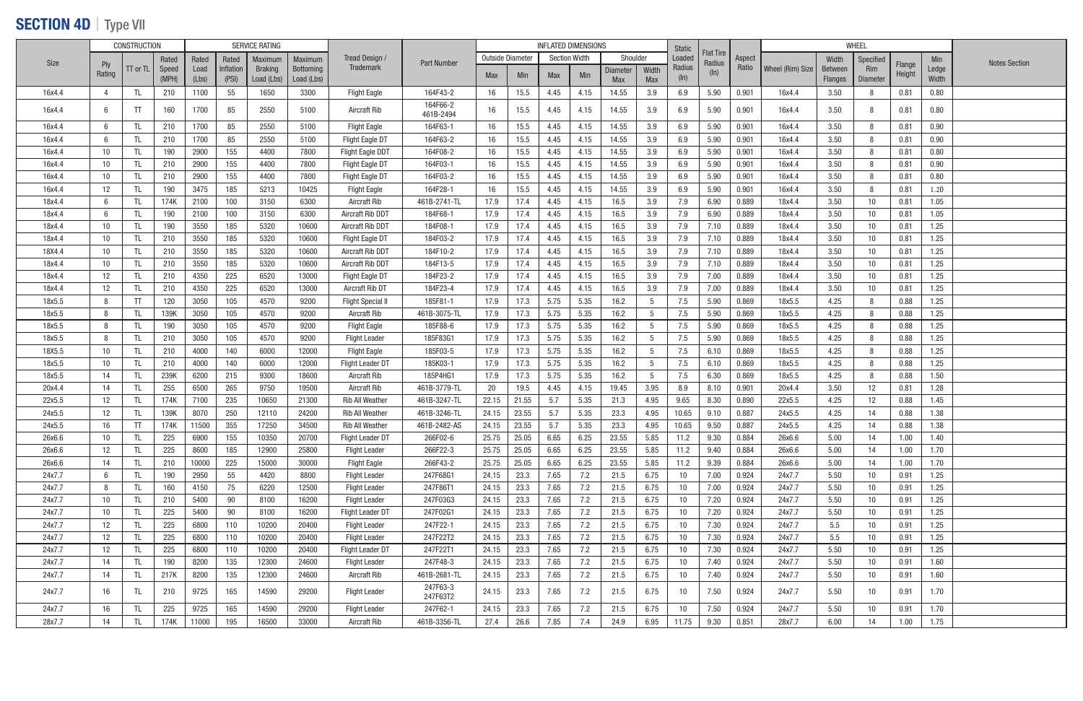## SECTION 4D | Type VII

|        |                   | <b>CONSTRUCTION</b> |       |       |           | <b>SERVICE RATING</b> |            |                          |                       |                  |            |      | <b>INFLATED DIMENSIONS</b> |                 |       | Static |                            |        |                  |         | <b>WHEEL</b> |                  |       |                      |
|--------|-------------------|---------------------|-------|-------|-----------|-----------------------|------------|--------------------------|-----------------------|------------------|------------|------|----------------------------|-----------------|-------|--------|----------------------------|--------|------------------|---------|--------------|------------------|-------|----------------------|
| Size   |                   |                     | Rated | Rated | Rated     | Maximum               | Maximum    | Tread Design /           | <b>Part Number</b>    | Outside Diameter |            |      | <b>Section Width</b>       | Shoulder        |       | Loaded | <b>Flat Tire</b><br>Radius | Aspect |                  | Width   | Specified    |                  | Min   | <b>Notes Section</b> |
|        | Ply<br>Rating     | TT or TL            | Speed | Load  | Inflation | <b>Braking</b>        | Bottoming  | <b>Trademark</b>         |                       | Max              | <b>Min</b> | Max  | Min                        | <b>Diameter</b> | Width | Radius | $(\ln)$                    | Ratio  | Wheel (Rim) Size | Between | Rim          | Flange<br>Height | Ledge |                      |
|        |                   |                     | (MPH) | (Lbs) | (PSI)     | Load (Lbs)            | Load (Lbs) |                          |                       |                  |            |      |                            | <b>Max</b>      | Max   | (ln)   |                            |        |                  | Flanges | Diameter     |                  | Width |                      |
| 16x4.4 | $\overline{4}$    | TL.                 | 210   | 1100  | 55        | 1650                  | 3300       | <b>Flight Eagle</b>      | 164F43-2              | 16               | 15.5       | 4.45 | 4.15                       | 14.55           | 3.9   | 6.9    | 5.90                       | 0.901  | 16x4.4           | 3.50    |              | 0.81             | 0.80  |                      |
| 16x4.4 | 6                 | TT                  | 160   | 1700  | 85        | 2550                  | 5100       | <b>Aircraft Rib</b>      | 164F66-2<br>461B-2494 | 16               | 15.5       | 4.45 | 4.15                       | 14.55           | 3.9   | 6.9    | 5.90                       | 0.901  | 16x4.4           | 3.50    |              | 0.81             | 0.80  |                      |
| 16x4.4 | 6                 | TL                  | 210   | 1700  | 85        | 2550                  | 5100       | <b>Flight Eagle</b>      | 164F63-1              | 16               | 15.5       | 4.45 | 4.15                       | 14.55           | 3.9   | 6.9    | 5.90                       | 0.901  | 16x4.4           | 3.50    |              | 0.81             | 0.90  |                      |
| 16x4.4 | 6                 | TL                  | 210   | 1700  | 85        | 2550                  | 5100       | Flight Eagle DT          | 164F63-2              | 16               | 15.5       | 4.45 | 4.15                       | 14.55           | 3.9   | 6.9    | 5.90                       | 0.901  | 16x4.4           | 3.50    |              | 0.81             | 0.90  |                      |
| 16x4.4 | 10                |                     | 190   | 2900  | 155       | 4400                  | 7800       | Flight Eagle DDT         | 164F08-2              | 16               | 15.5       | 4.45 | 4.15                       | 14.55           | 3.9   | 6.9    | 5.90                       | 0.901  | 16x4.4           | 3.50    |              | 0.81             | 0.80  |                      |
| 16x4.4 | 10                |                     | 210   | 2900  | 155       | 4400                  | 7800       | Flight Eagle DT          | 164F03-1              | 16               | 15.5       | 4.45 | 4.15                       | 14.55           | 3.9   | 6.9    | 5.90                       | 0.901  | 16x4.4           | 3.50    |              | 0.81             | 0.90  |                      |
| 16x4.4 | 10                | TL.                 | 210   | 2900  | 155       | 4400                  | 7800       | Flight Eagle DT          | 164F03-2              | 16               | 15.5       | 4.45 | 4.15                       | 14.55           | 3.9   | 6.9    | 5.90                       | 0.901  | 16x4.4           | 3.50    |              | 0.81             | 0.80  |                      |
| 16x4.4 | 12                | TL                  | 190   | 3475  | 185       | 5213                  | 10425      | <b>Flight Eagle</b>      | 164F28-1              | 16               | 15.5       | 4.45 | 4.15                       | 14.55           | 3.9   | 6.9    | 5.90                       | 0.901  | 16x4.4           | 3.50    |              | 0.81             | 1.20  |                      |
| 18x4.4 | 6                 | TL.                 | 174K  | 2100  | 100       | 3150                  | 6300       | <b>Aircraft Rib</b>      | 461B-2741-TL          | 17.9             | 17.4       | 4.45 | 4.15                       | 16.5            | 3.9   | 7.9    | 6.90                       | 0.889  | 18x4.4           | 3.50    | 10           | 0.81             | 1.05  |                      |
| 18x4.4 | 6                 | TL                  | 190   | 2100  | 100       | 3150                  | 6300       | Aircraft Rib DDT         | 184F68-1              | 17.9             | 17.4       | 4.45 | 4.15                       | 16.5            | 3.9   | 7.9    | 6.90                       | 0.889  | 18x4.4           | 3.50    | 10           | 0.81             | 1.05  |                      |
| 18x4.4 | 10                |                     | 190   | 3550  | 185       | 5320                  | 10600      | Aircraft Rib DDT         | 184F08-1              | 17.9             | 17.4       | 4.45 | 4.15                       | 16.5            | 3.9   | 7.9    | 7.10                       | 0.889  | 18x4.4           | 3.50    | 10           | 0.81             | 1.25  |                      |
| 18x4.4 | 10                | TL                  | 210   | 3550  | 185       | 5320                  | 10600      | Flight Eagle DT          | 184F03-2              | 17.9             | 17.4       | 4.45 | 4.15                       | 16.5            | 3.9   | 7.9    | 7.10                       | 0.889  | 18x4.4           | 3.50    | 10           | 0.81             | 1.25  |                      |
| 18X4.4 | 10                | TL.                 | 210   | 3550  | 185       | 5320                  | 10600      | Aircraft Rib DDT         | 184F10-2              | 17.9             | 17.4       | 4.45 | 4.15                       | 16.5            | 3.9   | 7.9    | 7.10                       | 0.889  | 18x4.4           | 3.50    | 10           | 0.81             | 1.25  |                      |
| 18x4.4 | 10                | TL.                 | 210   | 3550  | 185       | 5320                  | 10600      | Aircraft Rib DDT         | 184F13-5              | 17.9             | 17.4       | 4.45 | 4.15                       | 16.5            | 3.9   | 7.9    | 7.10                       | 0.889  | 18x4.4           | 3.50    | 10           | 0.81             | 1.25  |                      |
| 18x4.4 | 12                | TL                  | 210   | 4350  | 225       | 6520                  | 13000      | Flight Eagle DT          | 184F23-2              | 17.9             | 17.4       | 4.45 | 4.15                       | 16.5            | 3.9   | 7.9    | 7.00                       | 0.889  | 18x4.4           | 3.50    | 10           | 0.81             | 1.25  |                      |
| 18x4.4 | 12                |                     | 210   | 4350  | 225       | 6520                  | 13000      | Aircraft Rib DT          | 184F23-4              | 17.9             | 17.4       | 4.45 | 4.15                       | 16.5            | 3.9   | 7.9    | 7.00                       | 0.889  | 18x4.4           | 3.50    | 10           | 0.81             | 1.25  |                      |
| 18x5.5 | 8                 | TT                  | 120   | 3050  | 105       | 4570                  | 9200       | <b>Flight Special II</b> | 185F81-1              | 17.9             | 17.3       | 5.75 | 5.35                       | 16.2            | 5     | 7.5    | 5.90                       | 0.869  | 18x5.5           | 4.25    |              | 0.88             | 1.25  |                      |
| 18x5.5 | 8                 | TL                  | 139K  | 3050  | 105       | 4570                  | 9200       | <b>Aircraft Rib</b>      | 461B-3075-TL          | 17.9             | 17.3       | 5.75 | 5.35                       | 16.2            | 5     | 7.5    | 5.90                       | 0.869  | 18x5.5           | 4.25    |              | 0.88             | 1.25  |                      |
| 18x5.5 | 8                 |                     | 190   | 3050  | 105       | 4570                  | 9200       | <b>Flight Eagle</b>      | 185F88-6              | 17.9             | 17.3       | 5.75 | 5.35                       | 16.2            | 5     | 7.5    | 5.90                       | 0.869  | 18x5.5           | 4.25    |              | 0.88             | 1.25  |                      |
| 18x5.5 | 8                 | TL.                 | 210   | 3050  | 105       | 4570                  | 9200       | <b>Flight Leader</b>     | 185F83G1              | 17.9             | 17.3       | 5.75 | 5.35                       | 16.2            | 5     | 7.5    | 5.90                       | 0.869  | 18x5.5           | 4.25    |              | 0.88             | 1.25  |                      |
| 18X5.5 | 10                | TL                  | 210   | 4000  | 140       | 6000                  | 12000      | <b>Flight Eagle</b>      | 185F03-5              | 17.9             | 17.3       | 5.75 | 5.35                       | 16.2            | 5     | 7.5    | 6.10                       | 0.869  | 18x5.5           | 4.25    |              | 0.88             | 1.25  |                      |
| 18x5.5 | 10                |                     | 210   | 4000  | 140       | 6000                  | 12000      | <b>Flight Leader DT</b>  | 185K03-1              | 17.9             | 17.3       | 5.75 | 5.35                       | 16.2            | 5     | 7.5    | 6.10                       | 0.869  | 18x5.5           | 4.25    |              | 0.88             | 1.25  |                      |
| 18x5.5 | 14                |                     | 239K  | 6200  | 215       | 9300                  | 18600      | <b>Aircraft Rib</b>      | 185P4HG1              | 17.9             | 17.3       | 5.75 | 5.35                       | 16.2            | -5    | 7.5    | 6.30                       | 0.869  | 18x5.5           | 4.25    |              | 0.88             | 1.50  |                      |
| 20x4.4 | 14                |                     | 255   | 6500  | 265       | 9750                  | 19500      | <b>Aircraft Rib</b>      | 461B-3779-TL          | 20               | 19.5       | 4.45 | 4.15                       | 19.45           | 3.95  | 8.9    | 8.10                       | 0.901  | 20x4.4           | 3.50    | 12           | 0.81             | 1.28  |                      |
| 22x5.5 | 12                | TL.                 | 174K  | 7100  | 235       | 10650                 | 21300      | <b>Rib All Weather</b>   | 461B-3247-TL          | 22.15            | 21.55      | 5.7  | 5.35                       | 21.3            | 4.95  | 9.65   | 8.30                       | 0.890  | 22x5.5           | 4.25    | 12           | 0.88             | 1.45  |                      |
| 24x5.5 | 12                |                     | 139K  | 8070  | 250       | 12110                 | 24200      | <b>Rib All Weather</b>   | 461B-3246-TL          | 24.15            | 23.55      | 5.7  | 5.35                       | 23.3            | 4.95  | 10.65  | 9.10                       | 0.887  | 24x5.5           | 4.25    | 14           | 0.88             | 1.38  |                      |
| 24x5.5 | 16                | TT                  | 174K  | 11500 | 355       | 17250                 | 34500      | <b>Rib All Weather</b>   | 461B-2482-AS          | 24.15            | 23.55      | 5.7  | 5.35                       | 23.3            | 4.95  | 10.65  | 9.50                       | 0.887  | 24x5.5           | 4.25    | 14           | 0.88             | 1.38  |                      |
| 26x6.6 | 10                | TL.                 | 225   | 6900  | 155       | 10350                 | 20700      | Flight Leader DT         | 266F02-6              | 25.75            | 25.05      | 6.65 | 6.25                       | 23.55           | 5.85  | 11.2   | 9.30                       | 0.884  | 26x6.6           | 5.00    | 14           | 1.00             | 1.40  |                      |
| 26x6.6 | 12                | TL.                 | 225   | 8600  | 185       | 12900                 | 25800      | <b>Flight Leader</b>     | 266F22-3              | 25.75            | 25.05      | 6.65 | 6.25                       | 23.55           | 5.85  | 11.2   | 9.40                       | 0.884  | 26x6.6           | 5.00    | 14           | 1.00             | 1.70  |                      |
| 26x6.6 | 14                | TL                  | 210   | 10000 | 225       | 15000                 | 30000      | <b>Flight Eagle</b>      | 266F43-2              | 25.75            | 25.05      | 6.65 | 6.25                       | 23.55           | 5.85  | 11.2   | 9.39                       | 0.884  | 26x6.6           | 5.00    | 14           | 1.00             | 1.70  |                      |
| 24x7.7 | 6                 | TL                  | 190   | 2950  | 55        | 4420                  | 8800       | <b>Flight Leader</b>     | 247F68G1              | 24.15            | 23.3       | 7.65 | 7.2                        | 21.5            | 6.75  | 10     | 7.00                       | 0.924  | 24x7.7           | 5.50    | 10           | 0.91             | 1.25  |                      |
| 24x7.7 | 8                 | TL.                 | 160   | 4150  | 75        | 6220                  | 12500      | <b>Flight Leader</b>     | 247F86T1              | 24.15            | 23.3       | 7.65 | 7.2                        | 21.5            | 6.75  | 10     | 7.00                       | 0.924  | 24x7.7           | 5.50    | 10           | 0.91             | 1.25  |                      |
| 24x7.7 | 10                |                     | 210   | 5400  | 90        | 8100                  | 16200      | <b>Flight Leader</b>     | 247F03G3              | 24.15            | 23.3       | 7.65 |                            | 21.5            | 6.75  | 10     | 7.20                       | 0.924  | 24x7.7           | 5.50    | 10           | 0.91             | 1.25  |                      |
|        |                   | TL.                 |       | 5400  |           |                       | 16200      |                          | 247F02G1              |                  |            | 7.65 | 7.2                        |                 | 6.75  |        |                            |        |                  |         |              |                  | 1.25  |                      |
| 24x7.7 | 10                | TL.                 | 225   |       | 90        | 8100                  |            | Flight Leader DT         |                       | 24.15            | 23.3       |      | 7.2                        | 21.5            |       | 10     | 7.20                       | 0.924  | 24x7.7           | 5.50    | 10           | 0.91             |       |                      |
| 24x7.7 | $12 \overline{ }$ | TL.                 | 225   | 6800  | 110       | 10200                 | 20400      | <b>Flight Leader</b>     | 247F22-1              | 24.15            | 23.3       | 7.65 | 7.2                        | 21.5            | 6.75  | 10     | 7.30                       | 0.924  | 24x7.7           | 5.5     | 10           | 0.91             | 1.25  |                      |
| 24x7.7 | 12                | TL.                 | 225   | 6800  | 110       | 10200                 | 20400      | <b>Flight Leader</b>     | 247F22T2              | 24.15            | 23.3       | 7.65 | 7.2                        | 21.5            | 6.75  | 10     | 7.30                       | 0.924  | 24x7.7           | 5.5     | 10           | 0.91             | 1.25  |                      |
| 24x7.7 | $12 \overline{ }$ | TL.                 | 225   | 6800  | 110       | 10200                 | 20400      | <b>Flight Leader DT</b>  | 247F22T1              | 24.15            | 23.3       | 7.65 | 7.2                        | 21.5            | 6.75  | 10     | 7.30                       | 0.924  | 24x7.7           | 5.50    | 10           | 0.91             | 1.25  |                      |
| 24x7.7 | 14                | TL.                 | 190   | 8200  | 135       | 12300                 | 24600      | <b>Flight Leader</b>     | 247F48-3              | 24.15            | 23.3       | 7.65 | 7.2                        | 21.5            | 6.75  | 10     | 7.40                       | 0.924  | 24x7.7           | 5.50    | 10           | 0.91             | 1.60  |                      |
| 24x7.7 | 14                | TL.                 | 217K  | 8200  | 135       | 12300                 | 24600      | <b>Aircraft Rib</b>      | 461B-2681-TL          | 24.15            | 23.3       | 7.65 | 7.2                        | 21.5            | 6.75  | 10     | 7.40                       | 0.924  | 24x7.7           | 5.50    | 10           | 0.91             | 1.60  |                      |
| 24x7.7 | 16                | TL                  | 210   | 9725  | 165       | 14590                 | 29200      | <b>Flight Leader</b>     | 247F63-3<br>247F63T2  | 24.15            | 23.3       | 7.65 | 7.2                        | 21.5            | 6.75  | 10     | 7.50                       | 0.924  | 24x7.7           | 5.50    | 10           | 0.91             | 1.70  |                      |
| 24x7.7 | 16                | TL.                 | 225   | 9725  | 165       | 14590                 | 29200      | <b>Flight Leader</b>     | 247F62-1              | 24.15            | 23.3       | 7.65 | 7.2                        | 21.5            | 6.75  | 10     | 7.50                       | 0.924  | 24x7.7           | 5.50    | 10           | 0.91             | 1.70  |                      |
| 28x7.7 | 14                | TL.                 | 174K  | 11000 | 195       | 16500                 | 33000      | Aircraft Rib             | 461B-3356-TL          | 27.4             | 26.6       | 7.85 | 7.4                        | 24.9            | 6.95  | 11.75  | 9.30                       | 0.851  | 28x7.7           | 6.00    | 14           | 1.00             | 1.75  |                      |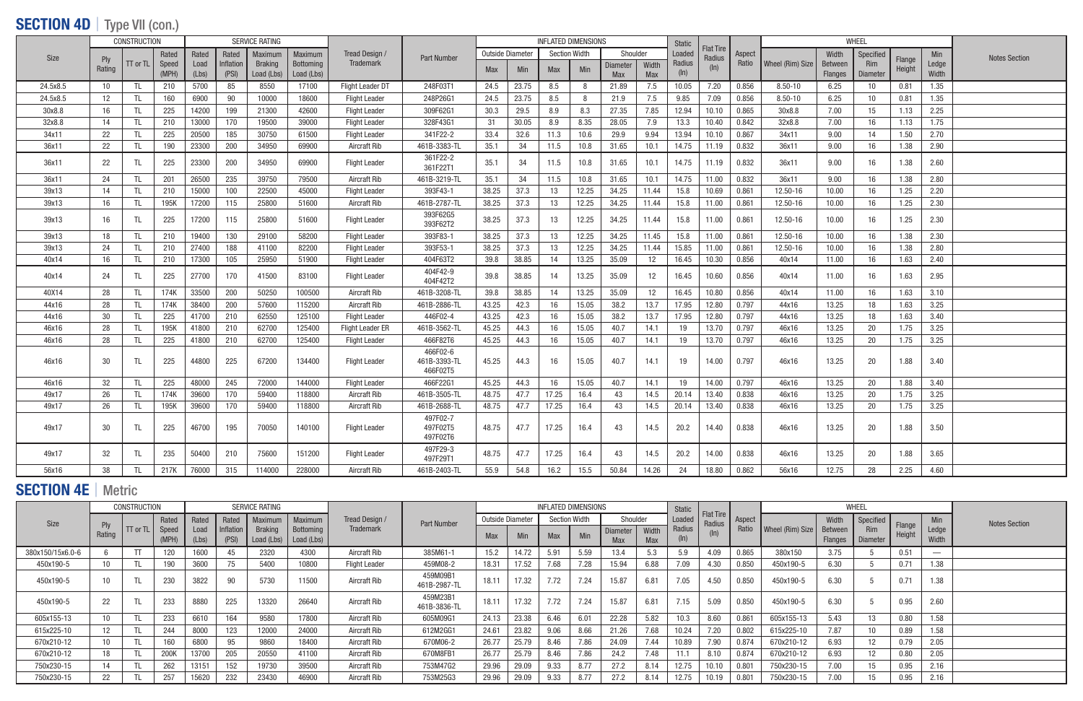### SECTION 4D | Type VII (con.)

|          |                      | <b>CONSTRUCTION</b> |                |               | SERVICE RATING     |                              |                                |                         |                                      |                  |            | <b>INFLATED DIMENSIONS</b> |                      |                               |                     | <b>Static</b>     |                            |        |                  |                                  | WHEEL                  |                  |                |                      |
|----------|----------------------|---------------------|----------------|---------------|--------------------|------------------------------|--------------------------------|-------------------------|--------------------------------------|------------------|------------|----------------------------|----------------------|-------------------------------|---------------------|-------------------|----------------------------|--------|------------------|----------------------------------|------------------------|------------------|----------------|----------------------|
| Size     |                      |                     | Rated          | Rated         | Rated              | Maximum                      | Maximum                        | Tread Design /          | <b>Part Number</b>                   | Outside Diameter |            |                            | <b>Section Width</b> | Shoulder                      |                     | Loadec            | <b>Flat Tire</b><br>Radius | Aspect |                  | Width                            | Specified              |                  | Min            | <b>Notes Section</b> |
|          | <b>Ply</b><br>Rating | TT or TL            | Speed<br>(MPH) | Load<br>(Lbs) | Inflation<br>(PSI) | <b>Braking</b><br>Load (Lbs) | <b>Bottoming</b><br>Load (Lbs) | <b>Trademark</b>        |                                      | <b>Max</b>       | <b>Min</b> | <b>Max</b>                 | Min                  | <b>Diameter</b><br><b>Max</b> | Width<br><b>Max</b> | Radius<br>$(\ln)$ | $(\ln)$                    | Ratio  | Wheel (Rim) Size | <b>Between</b><br><b>Flanges</b> | <b>Rim</b><br>Diameter | Flange<br>Height | Ledge<br>Width |                      |
| 24.5x8.5 | 10                   | TL                  | 210            | 5700          | 85                 | 8550                         | 17100                          | <b>Flight Leader DT</b> | 248F03T1                             | 24.5             | 23.75      | 8.5                        | 8                    | 21.89                         | 7.5                 | 10.05             | 7.20                       | 0.856  | 8.50-10          | 6.25                             | 10                     | 0.81             | 1.35           |                      |
| 24.5x8.5 | 12                   | TL                  | 160            | 6900          | 90                 | 10000                        | 18600                          | <b>Flight Leader</b>    | 248P26G1                             | 24.5             | 23.75      | 8.5                        | - 8                  | 21.9                          | 7.5                 | 9.85              | 7.09                       | 0.856  | $8.50 - 10$      | 6.25                             | 10 <sup>1</sup>        | 0.81             | 1.35           |                      |
| 30x8.8   | 16                   | TL                  | 225            | 14200         | 199                | 21300                        | 42600                          | <b>Flight Leader</b>    | 309F62G1                             | 30.3             | 29.5       | 8.9                        | 8.3                  | 27.35                         | 7.85                | 12.94             | 10.10                      | 0.865  | 30x8.8           | 7.00                             | 15                     | 1.13             | 2.25           |                      |
| 32x8.8   | 14                   |                     | 210            | 13000         | 170                | 19500                        | 39000                          | <b>Flight Leader</b>    | 328F43G1                             | 31               | 30.05      | 8.9                        | 8.35                 | 28.05                         | 7.9                 | 13.3              | 10.40                      | 0.842  | 32x8.8           | 7.00                             | 16                     | 1.13             | 1.75           |                      |
| 34x11    | 22                   |                     | 225            | 20500         | 185                | 30750                        | 61500                          | <b>Flight Leader</b>    | 341F22-2                             | 33.4             | 32.6       | 11.3                       | 10.6                 | 29.9                          | 9.94                | 13.94             | 10.10                      | 0.867  | 34x11            | 9.00                             | 14                     | 1.50             | 2.70           |                      |
| 36x11    | 22                   | TL                  | 190            | 23300         | 200                | 34950                        | 69900                          | <b>Aircraft Rib</b>     | 461B-3383-TL                         | 35.1             | 34         | 11.5                       | 10.8                 | 31.65                         | 10.1                | 14.75             | 11.19                      | 0.832  | 36x11            | 9.00                             | 16                     | 1.38             | 2.90           |                      |
| 36x11    | -22                  |                     | 225            | 23300         | 200                | 34950                        | 69900                          | <b>Flight Leader</b>    | 361F22-2<br>361F22T1                 | 35.1             | 34         | 11.5                       | 10.8                 | 31.65                         | 10.1                | 14.75             | 11.19                      | 0.832  | 36x11            | 9.00                             | 16                     | 1.38             | 2.60           |                      |
| 36x11    | 24                   |                     | 201            | 26500         | 235                | 39750                        | 79500                          | <b>Aircraft Rib</b>     | 461B-3219-TL                         | 35.1             | 34         | 11.5                       | 10.8                 | 31.65                         | 10.1                | 14.75             | 11.00                      | 0.832  | 36x11            | 9.00                             | 16                     | 1.38             | 2.80           |                      |
| 39x13    | 14                   |                     | 210            | 15000         | 100                | 22500                        | 45000                          | <b>Flight Leader</b>    | 393F43-1                             | 38.25            | 37.3       | 13                         | 12.25                | 34.25                         | 11.44               | 15.8              | 10.69                      | 0.861  | 12.50-16         | 10.00                            | 16                     | 1.25             | 2.20           |                      |
| 39x13    | 16                   | TL                  | 195K           | 17200         | 115                | 25800                        | 51600                          | Aircraft Rib            | 461B-2787-TL                         | 38.25            | 37.3       | 13                         | 12.25                | 34.25                         | 11.44               | 15.8              | 11.00                      | 0.861  | 12.50-16         | 10.00                            | 16                     | 1.25             | 2.30           |                      |
| 39x13    | 16                   | TI                  | 225            | 17200         | 115                | 25800                        | 51600                          | <b>Flight Leader</b>    | 393F62G5<br>393F62T2                 | 38.25            | 37.3       | 13                         | 12.25                | 34.25                         | 11.44               | 15.8              | 11.00                      | 0.861  | 12.50-16         | 10.00                            | 16                     | 1.25             | 2.30           |                      |
| 39x13    | 18                   |                     | 210            | 19400         | 130                | 29100                        | 58200                          | <b>Flight Leader</b>    | 393F83-1                             | 38.25            | 37.3       | 13                         | 12.25                | 34.25                         | 11.45               | 15.8              | 11.00                      | 0.861  | 12.50-16         | 10.00                            | 16                     | 1.38             | 2.30           |                      |
| 39x13    | 24                   | TL                  | 210            | 27400         | 188                | 41100                        | 82200                          | <b>Flight Leader</b>    | 393F53-1                             | 38.25            | 37.3       | 13                         | 12.25                | 34.25                         | 11.44               | 15.85             | 11.00                      | 0.861  | 12.50-16         | 10.00                            | 16                     | 1.38             | 2.80           |                      |
| 40x14    | 16                   | TL                  | 210            | 17300         | 105                | 25950                        | 51900                          | <b>Flight Leader</b>    | 404F63T2                             | 39.8             | 38.85      | 14                         | 13.25                | 35.09                         | 12                  | 16.45             | 10.30                      | 0.856  | 40x14            | 11.00                            | 16                     | 1.63             | 2.40           |                      |
| 40x14    | 24                   | TL                  | 225            | 27700         | 170                | 41500                        | 83100                          | <b>Flight Leader</b>    | 404F42-9<br>404F42T2                 | 39.8             | 38.85      | 14                         | 13.25                | 35.09                         | 12                  | 16.45             | 10.60                      | 0.856  | 40x14            | 11.00                            | 16                     | 1.63             | 2.95           |                      |
| 40X14    | 28                   | TL                  | 174K           | 33500         | 200                | 50250                        | 100500                         | <b>Aircraft Rib</b>     | 461B-3208-TL                         | 39.8             | 38.85      | 14                         | 13.25                | 35.09                         | 12                  | 16.45             | 10.80                      | 0.856  | 40x14            | 11.00                            | 16                     | 1.63             | 3.10           |                      |
| 44x16    | 28                   | -TL                 | 174K           | 38400         | 200                | 57600                        | 115200                         | <b>Aircraft Rib</b>     | 461B-2886-TL                         | 43.25            | 42.3       | 16                         | 15.05                | 38.2                          | 13.7                | 17.95             | 12.80                      | 0.797  | 44x16            | 13.25                            | 18                     | 1.63             | 3.25           |                      |
| 44x16    | 30                   | TL                  | 225            | 41700         | 210                | 62550                        | 125100                         | <b>Flight Leader</b>    | 446F02-4                             | 43.25            | 42.3       | 16                         | 15.05                | 38.2                          | 13.7                | 17.95             | 12.80                      | 0.797  | 44x16            | 13.25                            | 18                     | 1.63             | 3.40           |                      |
| 46x16    | 28                   | TL                  | 195K           | 41800         | 210                | 62700                        | 125400                         | <b>Flight Leader ER</b> | 461B-3562-TL                         | 45.25            | 44.3       | 16                         | 15.05                | 40.7                          | 14.1                | 19                | 13.70                      | 0.797  | 46x16            | 13.25                            | 20                     | 1.75             | 3.25           |                      |
| 46x16    | 28                   |                     | 225            | 41800         | 210                | 62700                        | 125400                         | <b>Flight Leader</b>    | 466F82T6                             | 45.25            | 44.3       | 16                         | 15.05                | 40.7                          | 14.1                | 19                | 13.70                      | 0.797  | 46x16            | 13.25                            | 20                     | 1.75             | 3.25           |                      |
| 46x16    | 30                   | -TI                 | 225            | 44800         | 225                | 67200                        | 134400                         | <b>Flight Leader</b>    | 466F02-6<br>461B-3393-TL<br>466F02T5 | 45.25            | 44.3       | 16                         | 15.05                | 40.7                          | 14.1                | 19                | 14.00                      | 0.797  | 46x16            | 13.25                            | 20                     | 1.88             | 3.40           |                      |
| 46x16    | 32                   | TL                  | 225            | 48000         | 245                | 72000                        | 144000                         | <b>Flight Leader</b>    | 466F22G1                             | 45.25            | 44.3       | 16                         | 15.05                | 40.7                          | 14.1                | 19                | 14.00                      | 0.797  | 46x16            | 13.25                            | 20                     | 1.88             | 3.40           |                      |
| 49x17    | 26                   | TL                  | 174K           | 39600         | 170                | 59400                        | 118800                         | <b>Aircraft Rib</b>     | 461B-3505-TL                         | 48.75            | 47.7       | 17.25                      | 16.4                 | 43                            | 14.5                | 20.14             | 13.40                      | 0.838  | 46x16            | 13.25                            | 20                     | 1.75             | 3.25           |                      |
| 49x17    | 26                   | TL                  | 195K           | 39600         | 170                | 59400                        | 118800                         | <b>Aircraft Rib</b>     | 461B-2688-TL                         | 48.75            | 47.7       | 17.25                      | 16.4                 | 43                            | 14.5                | 20.14             | 13.40                      | 0.838  | 46x16            | 13.25                            | 20                     | 1.75             | 3.25           |                      |
| 49x17    | 30                   | TL                  | 225            | 46700         | 195                | 70050                        | 140100                         | <b>Flight Leader</b>    | 497F02-7<br>497F02T5<br>497F02T6     | 48.75            | 47.7       | 17.25                      | 16.4                 | 43                            | 14.5                | 20.2              | 14.40                      | 0.838  | 46x16            | 13.25                            | 20                     | 1.88             | 3.50           |                      |
| 49x17    | 32                   |                     | 235            | 50400         | 210                | 75600                        | 151200                         | <b>Flight Leader</b>    | 497F29-3<br>497F29T1                 | 48.75            | 47.7       | 17.25                      | 16.4                 | 43                            | 14.5                | 20.2              | 14.00                      | 0.838  | 46x16            | 13.25                            | 20                     | 1.88             | 3.65           |                      |
| 56x16    | 38                   | TL                  | 217K           | 76000         | 315                | 114000                       | 228000                         | <b>Aircraft Rib</b>     | 461B-2403-TL                         | 55.9             | 54.8       | 16.2                       | 15.5                 | 50.84                         | 14.26               | 24                | 18.80                      | 0.862  | 56x16            | 12.75                            | 28                     | 2.25             | 4.60           |                      |

# SECTION 4E | Metric

|                  |               | <b>CONSTRUCTION</b> |       |               |                    | SERVICE RATING               |                         |                      |                          |                  |       |            | <b>INFLATED DIMENSIONS</b> |                               |                     | <b>Static</b>     |                            |        |                  |                           | WHEEL                         |        |                   |                      |
|------------------|---------------|---------------------|-------|---------------|--------------------|------------------------------|-------------------------|----------------------|--------------------------|------------------|-------|------------|----------------------------|-------------------------------|---------------------|-------------------|----------------------------|--------|------------------|---------------------------|-------------------------------|--------|-------------------|----------------------|
| <b>Size</b>      |               |                     | Rated | Rated         | Rated              | <b>Maximum</b>               | Maximum                 | Tread Design /       | Part Number              | Outside Diameter |       |            | <b>Section Width</b>       | Shoulder                      |                     | Loaded            | <b>Flat Tire</b><br>Radius | Aspect |                  | Width                     | Specified                     | Flange | Min               | <b>Notes Section</b> |
|                  | Ply<br>Rating | TT or TL Speed      |       | Load<br>(Lbs) | Inflatior<br>(PSI) | <b>Braking</b><br>Load (Lbs) | Bottoming<br>Load (Lbs) | <b>Trademark</b>     |                          | Max              | Min   | <b>Max</b> | Min                        | <b>Diameter</b><br><b>Max</b> | Width<br><b>Max</b> | Radius<br>$(\ln)$ |                            | Ratio  | Wheel (Rim) Size | <b>Between</b><br>Flanges | <b>Rim</b><br><b>Diameter</b> | Height | Ledge<br>Width    |                      |
| 380x150/15x6.0-6 |               |                     |       | 600           | 45                 | 2320                         | 4300                    | <b>Aircraft Rib</b>  | 385M61-1                 | 15.2             | 14.72 | 5.91       | 5.59                       | 13.4                          | 5.3                 | 5.9               | 4.09                       | 0.865  | 380x150          | 3.75                      |                               | 0.51   | $\hspace{0.05cm}$ |                      |
| 450x190-5        | 10            |                     |       | 3600          | 75                 | 5400                         | 10800                   | <b>Flight Leader</b> | 459M08-2                 | 18.31            | 7.52  | 7.68       | 7.28                       | 15.94                         | 6.88                | 7.09              | 4.30                       | 0.850  | 450x190-5        | 6.30                      |                               | 0.71   | 1.38              |                      |
| 450x190-5        | 10            |                     | 230   | 3822          | 90                 | 5730                         | 11500                   | <b>Aircraft Rib</b>  | 459M09B1<br>461B-2987-TL | 18.11            | 17.32 | 7.72       | 7.24                       | 15.87                         | 6.81                | 7.05              | 4.50                       | 0.850  | 450x190-5        | 6.30                      |                               | 0.71   | 1.38              |                      |
| 450x190-5        | 22            |                     | 233   | 8880          | 225                | 13320                        | 26640                   | <b>Aircraft Rib</b>  | 459M23B1<br>461B-3836-TL | 18.11            | 17.32 | 7.72       | 7.24                       | 15.87                         | 6.81                | 7.15              | 5.09                       | 0.850  | 450x190-5        | 6.30                      |                               | 0.95   | 2.60              |                      |
| 605x155-13       | 10            |                     | 233   | 6610          | 164                | 9580                         | 17800                   | <b>Aircraft Rib</b>  | 605M09G1                 | 24.13            | 23.38 | 6.46       | 6.01                       | 22.28                         | 5.82                | 10.3              | 8.60                       | 0.861  | 605x155-13       | 5.43                      | 13                            | 0.80   | 1.58              |                      |
| 615x225-10       | 12            |                     | 244   | 8000          | 123                | 12000                        | 24000                   | <b>Aircraft Rib</b>  | 612M2GG1                 | 24.61            | 23.82 | 9.06       | 8.66                       | 21.26                         | 7.68                | 10.24             | 7.20                       | 0.802  | 615x225-10       | 7.87                      | 10                            | 0.89   | 1.58              |                      |
| 670x210-12       | 10            |                     |       | 6800          | 95                 | 9860                         | 18400                   | <b>Aircraft Rib</b>  | 670M06-2                 | 26.77            | 25.79 | 8.46       | 7.86                       | 24.09                         | 7.44                | 10.89             | 7.90                       | 0.874  | 670x210-12       | 6.93                      | 12 <sup>12</sup>              | 0.79   | 2.05              |                      |
| 670x210-12       | 18            |                     | 200K  | 13700         | 205                | 20550                        | 41100                   | <b>Aircraft Rib</b>  | 670M8FB1                 | 26.77            | 25.79 | 8.46       | 7.86                       | 24.2                          | 7.48                | 11.1              | 8.10                       | 0.874  | 670x210-12       | 6.93                      | 12 <sup>°</sup>               | 0.80   | 2.05              |                      |
| 750x230-15       | 14            |                     | 262   | 13151         | 152                | 19730                        | 39500                   | <b>Aircraft Rib</b>  | 753M47G2                 | 29.96            | 29.09 | 9.33       | 8.77                       | 27.2                          | 8.14                | 12.75             | 10.10                      | 0.801  | 750x230-15       | 7.00                      | 15.                           | 0.95   | 2.16              |                      |
| 750x230-15       | 22            |                     | 257   | 15620         | 232                | 23430                        | 46900                   | <b>Aircraft Rib</b>  | 753M25G3                 | 29.96            | 29.09 | 9.33       | 8.77                       | 27.2                          | 8.14                | 12.75             | 10.19                      | 0.801  | 750x230-15       | 7.00                      | 15.                           | 0.95   | 2.16              |                      |